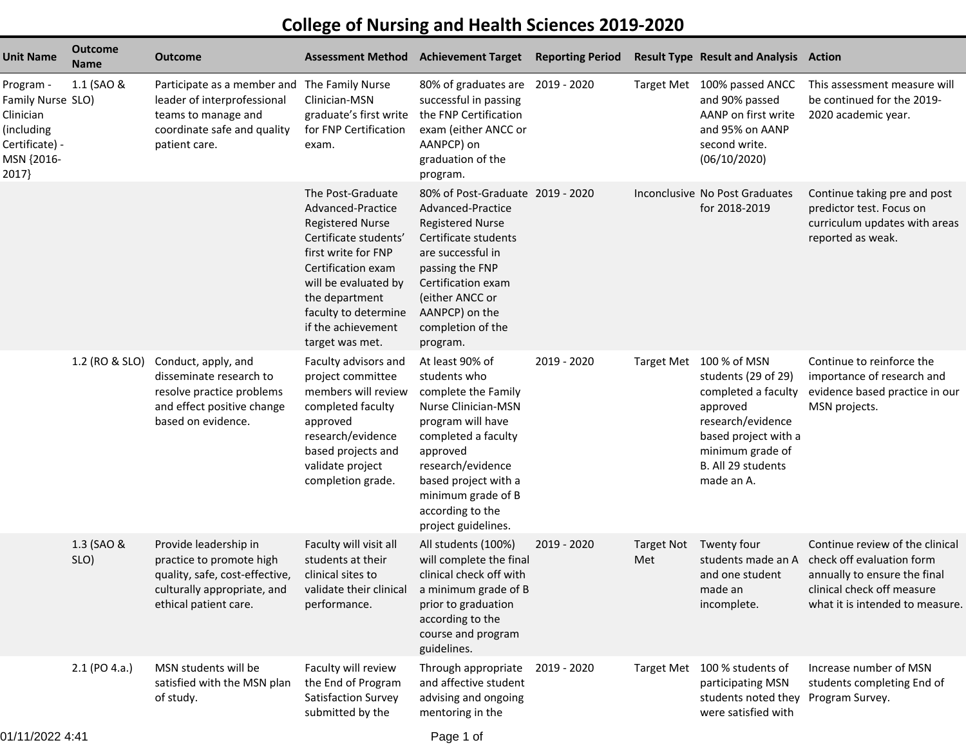## **College of Nursing and Health Sciences 2019-2020**

| <b>Unit Name</b>                                                                                   | <b>Outcome</b><br>Name | <b>Outcome</b>                                                                                                                                     |                                                                                                                                                                                                                                                    | <b>Assessment Method Achievement Target</b>                                                                                                                                                                                                         | <b>Reporting Period</b> |                   | <b>Result Type Result and Analysis Action</b>                                                                                                                                          |                                                                                                                                                               |
|----------------------------------------------------------------------------------------------------|------------------------|----------------------------------------------------------------------------------------------------------------------------------------------------|----------------------------------------------------------------------------------------------------------------------------------------------------------------------------------------------------------------------------------------------------|-----------------------------------------------------------------------------------------------------------------------------------------------------------------------------------------------------------------------------------------------------|-------------------------|-------------------|----------------------------------------------------------------------------------------------------------------------------------------------------------------------------------------|---------------------------------------------------------------------------------------------------------------------------------------------------------------|
| Program -<br>Family Nurse SLO)<br>Clinician<br>(including<br>Certificate) -<br>MSN {2016-<br>2017} | 1.1 (SAO &             | Participate as a member and The Family Nurse<br>leader of interprofessional<br>teams to manage and<br>coordinate safe and quality<br>patient care. | Clinician-MSN<br>graduate's first write<br>for FNP Certification<br>exam.                                                                                                                                                                          | 80% of graduates are 2019 - 2020<br>successful in passing<br>the FNP Certification<br>exam (either ANCC or<br>AANPCP) on<br>graduation of the<br>program.                                                                                           |                         |                   | Target Met 100% passed ANCC<br>and 90% passed<br>AANP on first write<br>and 95% on AANP<br>second write.<br>(06/10/2020)                                                               | This assessment measure will<br>be continued for the 2019-<br>2020 academic year.                                                                             |
|                                                                                                    |                        |                                                                                                                                                    | The Post-Graduate<br>Advanced-Practice<br><b>Registered Nurse</b><br>Certificate students'<br>first write for FNP<br>Certification exam<br>will be evaluated by<br>the department<br>faculty to determine<br>if the achievement<br>target was met. | 80% of Post-Graduate 2019 - 2020<br>Advanced-Practice<br><b>Registered Nurse</b><br>Certificate students<br>are successful in<br>passing the FNP<br>Certification exam<br>(either ANCC or<br>AANPCP) on the<br>completion of the<br>program.        |                         |                   | Inconclusive No Post Graduates<br>for 2018-2019                                                                                                                                        | Continue taking pre and post<br>predictor test. Focus on<br>curriculum updates with areas<br>reported as weak.                                                |
|                                                                                                    | 1.2 (RO & SLO)         | Conduct, apply, and<br>disseminate research to<br>resolve practice problems<br>and effect positive change<br>based on evidence.                    | Faculty advisors and<br>project committee<br>members will review<br>completed faculty<br>approved<br>research/evidence<br>based projects and<br>validate project<br>completion grade.                                                              | At least 90% of<br>students who<br>complete the Family<br>Nurse Clinician-MSN<br>program will have<br>completed a faculty<br>approved<br>research/evidence<br>based project with a<br>minimum grade of B<br>according to the<br>project guidelines. | 2019 - 2020             |                   | Target Met 100 % of MSN<br>students (29 of 29)<br>completed a faculty<br>approved<br>research/evidence<br>based project with a<br>minimum grade of<br>B. All 29 students<br>made an A. | Continue to reinforce the<br>importance of research and<br>evidence based practice in our<br>MSN projects.                                                    |
|                                                                                                    | 1.3 (SAO &<br>SLO)     | Provide leadership in<br>practice to promote high<br>quality, safe, cost-effective,<br>culturally appropriate, and<br>ethical patient care.        | Faculty will visit all<br>students at their<br>clinical sites to<br>performance.                                                                                                                                                                   | All students (100%)<br>will complete the final<br>clinical check off with<br>validate their clinical a minimum grade of B<br>prior to graduation<br>according to the<br>course and program<br>guidelines.                                           | 2019 - 2020             | Target Not<br>Met | Twenty four<br>students made an A<br>and one student<br>made an<br>incomplete.                                                                                                         | Continue review of the clinical<br>check off evaluation form<br>annually to ensure the final<br>clinical check off measure<br>what it is intended to measure. |
|                                                                                                    | 2.1 (PO 4.a.)          | MSN students will be<br>satisfied with the MSN plan<br>of study.                                                                                   | Faculty will review<br>the End of Program<br>Satisfaction Survey<br>submitted by the                                                                                                                                                               | Through appropriate<br>and affective student<br>advising and ongoing<br>mentoring in the                                                                                                                                                            | 2019 - 2020             |                   | Target Met 100 % students of<br>participating MSN<br>students noted they<br>were satisfied with                                                                                        | Increase number of MSN<br>students completing End of<br>Program Survey.                                                                                       |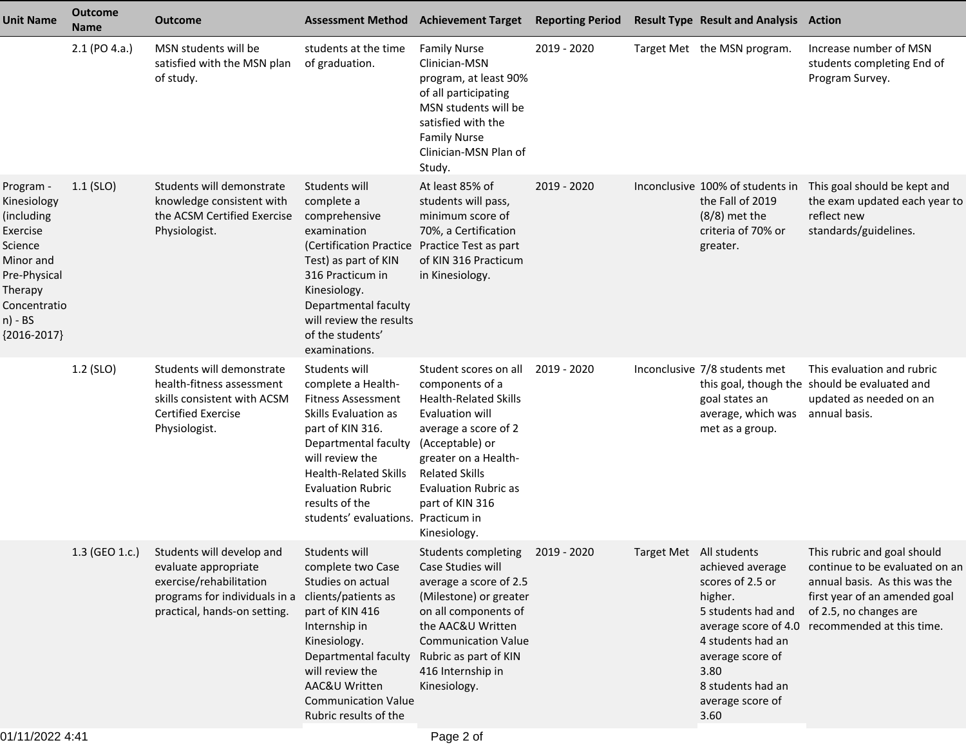| <b>Unit Name</b>                                                                                                                                  | <b>Outcome</b><br><b>Name</b> | Outcome                                                                                                                                                      | <b>Assessment Method</b>                                                                                                                                                                                                                                                     | <b>Achievement Target</b>                                                                                                                                                                                                                                 | <b>Reporting Period</b> | <b>Result Type Result and Analysis Action</b>                                                                                                                                                                              |                                                                                                                                                                                        |
|---------------------------------------------------------------------------------------------------------------------------------------------------|-------------------------------|--------------------------------------------------------------------------------------------------------------------------------------------------------------|------------------------------------------------------------------------------------------------------------------------------------------------------------------------------------------------------------------------------------------------------------------------------|-----------------------------------------------------------------------------------------------------------------------------------------------------------------------------------------------------------------------------------------------------------|-------------------------|----------------------------------------------------------------------------------------------------------------------------------------------------------------------------------------------------------------------------|----------------------------------------------------------------------------------------------------------------------------------------------------------------------------------------|
|                                                                                                                                                   | $2.1$ (PO 4.a.)               | MSN students will be<br>satisfied with the MSN plan<br>of study.                                                                                             | students at the time<br>of graduation.                                                                                                                                                                                                                                       | <b>Family Nurse</b><br>Clinician-MSN<br>program, at least 90%<br>of all participating<br>MSN students will be<br>satisfied with the<br><b>Family Nurse</b><br>Clinician-MSN Plan of<br>Study.                                                             | 2019 - 2020             | Target Met the MSN program.                                                                                                                                                                                                | Increase number of MSN<br>students completing End of<br>Program Survey.                                                                                                                |
| Program -<br>Kinesiology<br>(including<br>Exercise<br>Science<br>Minor and<br>Pre-Physical<br>Therapy<br>Concentratio<br>n) - BS<br>${2016-2017}$ | $1.1$ (SLO)                   | Students will demonstrate<br>knowledge consistent with<br>the ACSM Certified Exercise<br>Physiologist.                                                       | Students will<br>complete a<br>comprehensive<br>examination<br>(Certification Practice Practice Test as part<br>Test) as part of KIN<br>316 Practicum in<br>Kinesiology.<br>Departmental faculty<br>will review the results<br>of the students'<br>examinations.             | At least 85% of<br>students will pass,<br>minimum score of<br>70%, a Certification<br>of KIN 316 Practicum<br>in Kinesiology.                                                                                                                             | 2019 - 2020             | Inconclusive 100% of students in<br>the Fall of 2019<br>$(8/8)$ met the<br>criteria of 70% or<br>greater.                                                                                                                  | This goal should be kept and<br>the exam updated each year to<br>reflect new<br>standards/guidelines.                                                                                  |
|                                                                                                                                                   | 1.2 (SLO)                     | Students will demonstrate<br>health-fitness assessment<br>skills consistent with ACSM<br><b>Certified Exercise</b><br>Physiologist.                          | Students will<br>complete a Health-<br><b>Fitness Assessment</b><br>Skills Evaluation as<br>part of KIN 316.<br>Departmental faculty<br>will review the<br><b>Health-Related Skills</b><br><b>Evaluation Rubric</b><br>results of the<br>students' evaluations. Practicum in | Student scores on all<br>components of a<br><b>Health-Related Skills</b><br>Evaluation will<br>average a score of 2<br>(Acceptable) or<br>greater on a Health-<br><b>Related Skills</b><br><b>Evaluation Rubric as</b><br>part of KIN 316<br>Kinesiology. | 2019 - 2020             | Inconclusive 7/8 students met<br>goal states an<br>average, which was<br>met as a group.                                                                                                                                   | This evaluation and rubric<br>this goal, though the should be evaluated and<br>updated as needed on an<br>annual basis.                                                                |
|                                                                                                                                                   |                               | 1.3 (GEO 1.c.) Students will develop and<br>evaluate appropriate<br>exercise/rehabilitation<br>programs for individuals in a<br>practical, hands-on setting. | Students will<br>complete two Case<br>Studies on actual<br>clients/patients as<br>part of KIN 416<br>Internship in<br>Kinesiology.<br>Departmental faculty<br>will review the<br>AAC&U Written<br><b>Communication Value</b><br>Rubric results of the                        | Students completing 2019 - 2020<br>Case Studies will<br>average a score of 2.5<br>(Milestone) or greater<br>on all components of<br>the AAC&U Written<br><b>Communication Value</b><br>Rubric as part of KIN<br>416 Internship in<br>Kinesiology.         |                         | Target Met All students<br>achieved average<br>scores of 2.5 or<br>higher.<br>5 students had and<br>average score of 4.0<br>4 students had an<br>average score of<br>3.80<br>8 students had an<br>average score of<br>3.60 | This rubric and goal should<br>continue to be evaluated on an<br>annual basis. As this was the<br>first year of an amended goal<br>of 2.5, no changes are<br>recommended at this time. |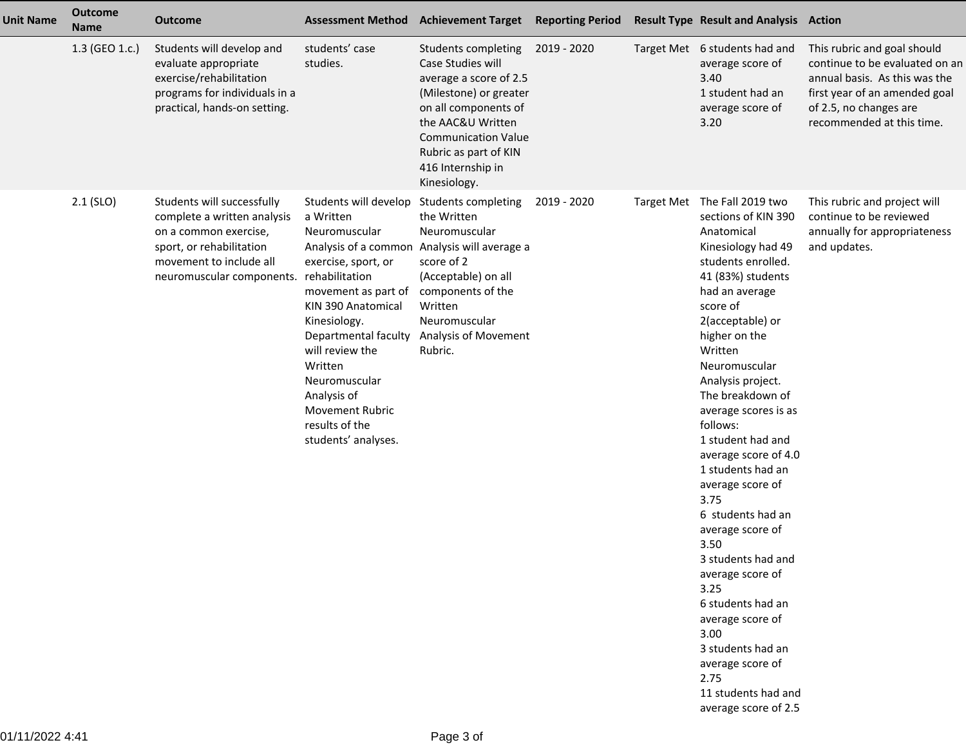| <b>Unit Name</b> | <b>Outcome</b><br><b>Name</b> | <b>Outcome</b>                                                                                                                                                         | <b>Assessment Method</b>                                                                                                                                                                                                                                                                                                                   | <b>Achievement Target</b>                                                                                                                                                                                                             | <b>Reporting Period</b> | <b>Result Type Result and Analysis Action</b>                                                                                                                                                                                                                                                                                                                                                                                                                                                                                                                                                                                                                    |                                                                                                                                                                                        |
|------------------|-------------------------------|------------------------------------------------------------------------------------------------------------------------------------------------------------------------|--------------------------------------------------------------------------------------------------------------------------------------------------------------------------------------------------------------------------------------------------------------------------------------------------------------------------------------------|---------------------------------------------------------------------------------------------------------------------------------------------------------------------------------------------------------------------------------------|-------------------------|------------------------------------------------------------------------------------------------------------------------------------------------------------------------------------------------------------------------------------------------------------------------------------------------------------------------------------------------------------------------------------------------------------------------------------------------------------------------------------------------------------------------------------------------------------------------------------------------------------------------------------------------------------------|----------------------------------------------------------------------------------------------------------------------------------------------------------------------------------------|
|                  | 1.3 (GEO 1.c.)                | Students will develop and<br>evaluate appropriate<br>exercise/rehabilitation<br>programs for individuals in a<br>practical, hands-on setting.                          | students' case<br>studies.                                                                                                                                                                                                                                                                                                                 | Students completing<br>Case Studies will<br>average a score of 2.5<br>(Milestone) or greater<br>on all components of<br>the AAC&U Written<br><b>Communication Value</b><br>Rubric as part of KIN<br>416 Internship in<br>Kinesiology. | 2019 - 2020             | Target Met 6 students had and<br>average score of<br>3.40<br>1 student had an<br>average score of<br>3.20                                                                                                                                                                                                                                                                                                                                                                                                                                                                                                                                                        | This rubric and goal should<br>continue to be evaluated on an<br>annual basis. As this was the<br>first year of an amended goal<br>of 2.5, no changes are<br>recommended at this time. |
|                  | $2.1$ (SLO)                   | Students will successfully<br>complete a written analysis<br>on a common exercise,<br>sport, or rehabilitation<br>movement to include all<br>neuromuscular components. | Students will develop<br>a Written<br>Neuromuscular<br>Analysis of a common<br>exercise, sport, or<br>rehabilitation<br>movement as part of<br>KIN 390 Anatomical<br>Kinesiology.<br>Departmental faculty<br>will review the<br>Written<br>Neuromuscular<br>Analysis of<br><b>Movement Rubric</b><br>results of the<br>students' analyses. | Students completing<br>the Written<br>Neuromuscular<br>Analysis will average a<br>score of 2<br>(Acceptable) on all<br>components of the<br>Written<br>Neuromuscular<br>Analysis of Movement<br>Rubric.                               | 2019 - 2020             | Target Met The Fall 2019 two<br>sections of KIN 390<br>Anatomical<br>Kinesiology had 49<br>students enrolled.<br>41 (83%) students<br>had an average<br>score of<br>2(acceptable) or<br>higher on the<br>Written<br>Neuromuscular<br>Analysis project.<br>The breakdown of<br>average scores is as<br>follows:<br>1 student had and<br>average score of 4.0<br>1 students had an<br>average score of<br>3.75<br>6 students had an<br>average score of<br>3.50<br>3 students had and<br>average score of<br>3.25<br>6 students had an<br>average score of<br>3.00<br>3 students had an<br>average score of<br>2.75<br>11 students had and<br>average score of 2.5 | This rubric and project will<br>continue to be reviewed<br>annually for appropriateness<br>and updates.                                                                                |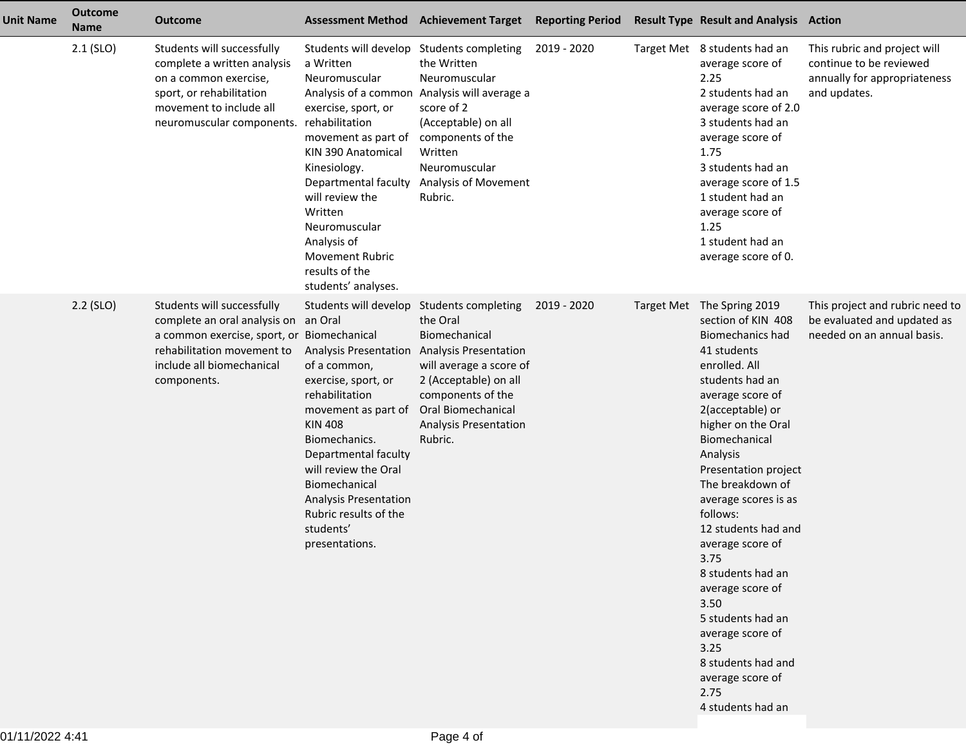| <b>Unit Name</b> | <b>Outcome</b><br><b>Name</b> | <b>Outcome</b>                                                                                                                                                               | <b>Assessment Method</b>                                                                                                                                                                                                                                                                                                                   | <b>Achievement Target</b>                                                                                                                                                                                                         | <b>Reporting Period</b> | <b>Result Type Result and Analysis Action</b>                                                                                                                                                                                                                                                                                                                                                                                                                                                                                         |                                                                                                         |
|------------------|-------------------------------|------------------------------------------------------------------------------------------------------------------------------------------------------------------------------|--------------------------------------------------------------------------------------------------------------------------------------------------------------------------------------------------------------------------------------------------------------------------------------------------------------------------------------------|-----------------------------------------------------------------------------------------------------------------------------------------------------------------------------------------------------------------------------------|-------------------------|---------------------------------------------------------------------------------------------------------------------------------------------------------------------------------------------------------------------------------------------------------------------------------------------------------------------------------------------------------------------------------------------------------------------------------------------------------------------------------------------------------------------------------------|---------------------------------------------------------------------------------------------------------|
|                  | $2.1$ (SLO)                   | Students will successfully<br>complete a written analysis<br>on a common exercise,<br>sport, or rehabilitation<br>movement to include all<br>neuromuscular components.       | Students will develop<br>a Written<br>Neuromuscular<br>Analysis of a common<br>exercise, sport, or<br>rehabilitation<br>movement as part of<br>KIN 390 Anatomical<br>Kinesiology.<br>Departmental faculty<br>will review the<br>Written<br>Neuromuscular<br>Analysis of<br><b>Movement Rubric</b><br>results of the<br>students' analyses. | Students completing<br>the Written<br>Neuromuscular<br>Analysis will average a<br>score of 2<br>(Acceptable) on all<br>components of the<br>Written<br>Neuromuscular<br>Analysis of Movement<br>Rubric.                           | 2019 - 2020             | Target Met 8 students had an<br>average score of<br>2.25<br>2 students had an<br>average score of 2.0<br>3 students had an<br>average score of<br>1.75<br>3 students had an<br>average score of 1.5<br>1 student had an<br>average score of<br>1.25<br>1 student had an<br>average score of 0.                                                                                                                                                                                                                                        | This rubric and project will<br>continue to be reviewed<br>annually for appropriateness<br>and updates. |
|                  | $2.2$ (SLO)                   | Students will successfully<br>complete an oral analysis on an Oral<br>a common exercise, sport, or<br>rehabilitation movement to<br>include all biomechanical<br>components. | Students will develop<br>Biomechanical<br>Analysis Presentation<br>of a common,<br>exercise, sport, or<br>rehabilitation<br>movement as part of<br><b>KIN 408</b><br>Biomechanics.<br>Departmental faculty<br>will review the Oral<br>Biomechanical<br>Analysis Presentation<br>Rubric results of the<br>students'<br>presentations.       | Students completing<br>the Oral<br>Biomechanical<br><b>Analysis Presentation</b><br>will average a score of<br>2 (Acceptable) on all<br>components of the<br><b>Oral Biomechanical</b><br><b>Analysis Presentation</b><br>Rubric. | 2019 - 2020             | Target Met The Spring 2019<br>section of KIN 408<br><b>Biomechanics had</b><br>41 students<br>enrolled. All<br>students had an<br>average score of<br>2(acceptable) or<br>higher on the Oral<br>Biomechanical<br>Analysis<br>Presentation project<br>The breakdown of<br>average scores is as<br>follows:<br>12 students had and<br>average score of<br>3.75<br>8 students had an<br>average score of<br>3.50<br>5 students had an<br>average score of<br>3.25<br>8 students had and<br>average score of<br>2.75<br>4 students had an | This project and rubric need to<br>be evaluated and updated as<br>needed on an annual basis.            |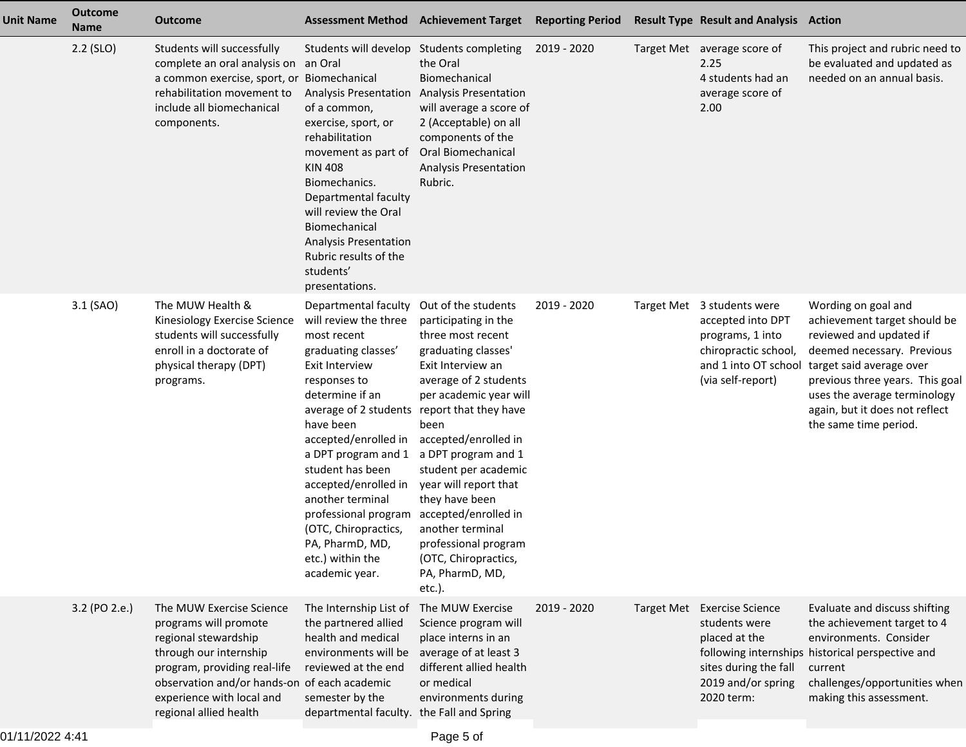| <b>Unit Name</b> | <b>Outcome</b><br><b>Name</b> | <b>Outcome</b>                                                                                                                                                                                                                             | <b>Assessment Method</b>                                                                                                                                                                                                                                                                                                                                                                                      | <b>Achievement Target</b>                                                                                                                                                                                                                                                                                                                                                                                                                   | <b>Reporting Period</b> |                   | <b>Result Type Result and Analysis Action</b>                                                                                 |                                                                                                                                                                                                                                                                        |
|------------------|-------------------------------|--------------------------------------------------------------------------------------------------------------------------------------------------------------------------------------------------------------------------------------------|---------------------------------------------------------------------------------------------------------------------------------------------------------------------------------------------------------------------------------------------------------------------------------------------------------------------------------------------------------------------------------------------------------------|---------------------------------------------------------------------------------------------------------------------------------------------------------------------------------------------------------------------------------------------------------------------------------------------------------------------------------------------------------------------------------------------------------------------------------------------|-------------------------|-------------------|-------------------------------------------------------------------------------------------------------------------------------|------------------------------------------------------------------------------------------------------------------------------------------------------------------------------------------------------------------------------------------------------------------------|
|                  | $2.2$ (SLO)                   | Students will successfully<br>complete an oral analysis on an Oral<br>a common exercise, sport, or Biomechanical<br>rehabilitation movement to<br>include all biomechanical<br>components.                                                 | Students will develop Students completing<br>Analysis Presentation<br>of a common,<br>exercise, sport, or<br>rehabilitation<br>movement as part of<br><b>KIN 408</b><br>Biomechanics.<br>Departmental faculty<br>will review the Oral<br>Biomechanical<br>Analysis Presentation<br>Rubric results of the<br>students'<br>presentations.                                                                       | the Oral<br>Biomechanical<br><b>Analysis Presentation</b><br>will average a score of<br>2 (Acceptable) on all<br>components of the<br><b>Oral Biomechanical</b><br><b>Analysis Presentation</b><br>Rubric.                                                                                                                                                                                                                                  | 2019 - 2020             |                   | Target Met average score of<br>2.25<br>4 students had an<br>average score of<br>2.00                                          | This project and rubric need to<br>be evaluated and updated as<br>needed on an annual basis.                                                                                                                                                                           |
|                  | 3.1 (SAO)                     | The MUW Health &<br>Kinesiology Exercise Science<br>students will successfully<br>enroll in a doctorate of<br>physical therapy (DPT)<br>programs.                                                                                          | Departmental faculty<br>will review the three<br>most recent<br>graduating classes'<br><b>Exit Interview</b><br>responses to<br>determine if an<br>average of 2 students<br>have been<br>accepted/enrolled in<br>a DPT program and 1<br>student has been<br>accepted/enrolled in<br>another terminal<br>professional program<br>(OTC, Chiropractics,<br>PA, PharmD, MD,<br>etc.) within the<br>academic year. | Out of the students<br>participating in the<br>three most recent<br>graduating classes'<br>Exit Interview an<br>average of 2 students<br>per academic year will<br>report that they have<br>been<br>accepted/enrolled in<br>a DPT program and 1<br>student per academic<br>year will report that<br>they have been<br>accepted/enrolled in<br>another terminal<br>professional program<br>(OTC, Chiropractics,<br>PA, PharmD, MD,<br>etc.). | 2019 - 2020             | <b>Target Met</b> | 3 students were<br>accepted into DPT<br>programs, 1 into<br>chiropractic school,<br>and 1 into OT school<br>(via self-report) | Wording on goal and<br>achievement target should be<br>reviewed and updated if<br>deemed necessary. Previous<br>target said average over<br>previous three years. This goal<br>uses the average terminology<br>again, but it does not reflect<br>the same time period. |
|                  | 3.2 (PO 2.e.)                 | The MUW Exercise Science<br>programs will promote<br>regional stewardship<br>through our internship<br>program, providing real-life<br>observation and/or hands-on of each academic<br>experience with local and<br>regional allied health | The Internship List of<br>the partnered allied<br>health and medical<br>environments will be<br>reviewed at the end<br>semester by the<br>departmental faculty.                                                                                                                                                                                                                                               | The MUW Exercise<br>Science program will<br>place interns in an<br>average of at least 3<br>different allied health<br>or medical<br>environments during<br>the Fall and Spring                                                                                                                                                                                                                                                             | 2019 - 2020             | <b>Target Met</b> | <b>Exercise Science</b><br>students were<br>placed at the<br>sites during the fall<br>2019 and/or spring<br>2020 term:        | Evaluate and discuss shifting<br>the achievement target to 4<br>environments. Consider<br>following internships historical perspective and<br>current<br>challenges/opportunities when<br>making this assessment.                                                      |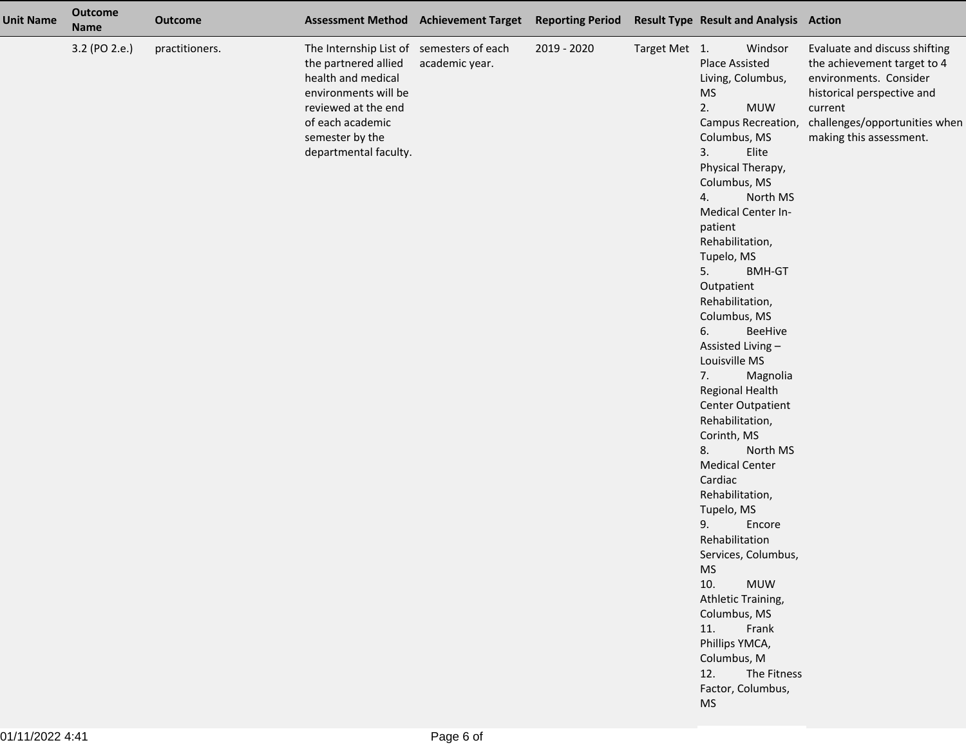| <b>Unit Name</b> | <b>Outcome</b><br><b>Name</b> | <b>Outcome</b> |                                                                                                                                                                                                       | Assessment Method Achievement Target Reporting Period Result Type Result and Analysis Action |             |               |                                                                                                                                                                                                                                                                                                                                                                                                                                                                                                                                                                                                                                                                                                                                                                                                                          |                                                                                                                                                                                             |
|------------------|-------------------------------|----------------|-------------------------------------------------------------------------------------------------------------------------------------------------------------------------------------------------------|----------------------------------------------------------------------------------------------|-------------|---------------|--------------------------------------------------------------------------------------------------------------------------------------------------------------------------------------------------------------------------------------------------------------------------------------------------------------------------------------------------------------------------------------------------------------------------------------------------------------------------------------------------------------------------------------------------------------------------------------------------------------------------------------------------------------------------------------------------------------------------------------------------------------------------------------------------------------------------|---------------------------------------------------------------------------------------------------------------------------------------------------------------------------------------------|
|                  | 3.2 (PO 2.e.)                 | practitioners. | The Internship List of semesters of each<br>the partnered allied<br>health and medical<br>environments will be<br>reviewed at the end<br>of each academic<br>semester by the<br>departmental faculty. | academic year.                                                                               | 2019 - 2020 | Target Met 1. | Windsor<br>Place Assisted<br>Living, Columbus,<br><b>MS</b><br>2.<br><b>MUW</b><br>Campus Recreation,<br>Columbus, MS<br>Elite<br>3.<br>Physical Therapy,<br>Columbus, MS<br>North MS<br>4.<br>Medical Center In-<br>patient<br>Rehabilitation,<br>Tupelo, MS<br>BMH-GT<br>5.<br>Outpatient<br>Rehabilitation,<br>Columbus, MS<br>6.<br><b>BeeHive</b><br>Assisted Living-<br>Louisville MS<br>7.<br>Magnolia<br>Regional Health<br>Center Outpatient<br>Rehabilitation,<br>Corinth, MS<br>North MS<br>8.<br><b>Medical Center</b><br>Cardiac<br>Rehabilitation,<br>Tupelo, MS<br>9.<br>Encore<br>Rehabilitation<br>Services, Columbus,<br><b>MS</b><br>10.<br><b>MUW</b><br>Athletic Training,<br>Columbus, MS<br>Frank<br>11.<br>Phillips YMCA,<br>Columbus, M<br>The Fitness<br>12.<br>Factor, Columbus,<br><b>MS</b> | Evaluate and discuss shifting<br>the achievement target to 4<br>environments. Consider<br>historical perspective and<br>current<br>challenges/opportunities when<br>making this assessment. |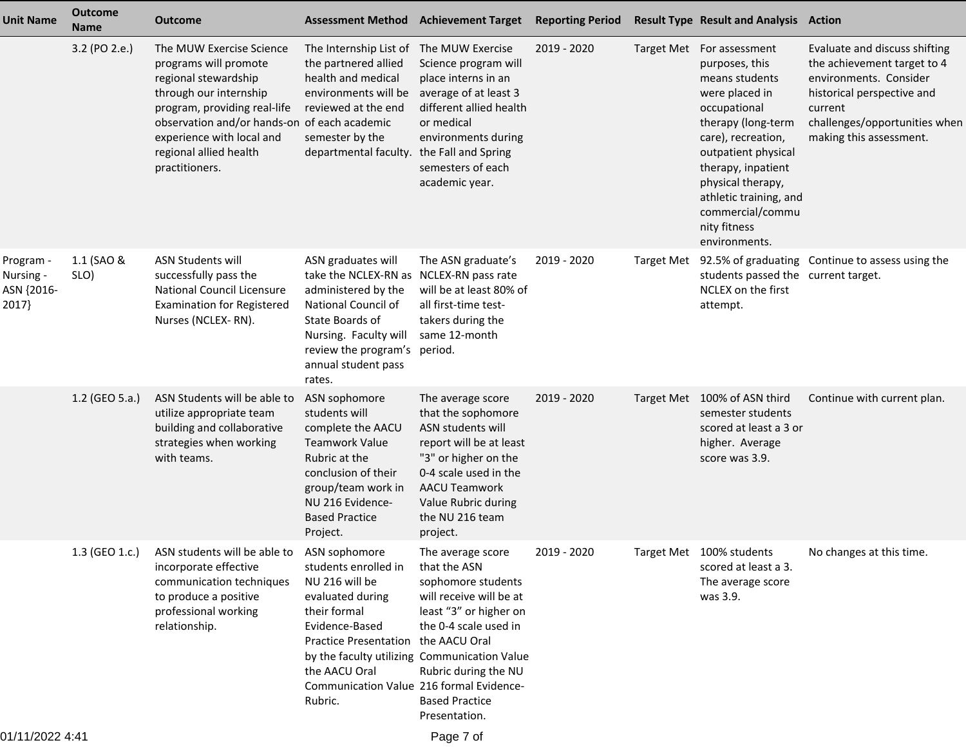| <b>Unit Name</b>                              | <b>Outcome</b><br><b>Name</b> | <b>Outcome</b>                                                                                                                                                                                                                                               | <b>Assessment Method</b>                                                                                                                                                                                                 | <b>Achievement Target</b>                                                                                                                                                                                                                               | <b>Reporting Period</b> |                   | <b>Result Type Result and Analysis Action</b>                                                                                                                                                                                                                                                |                                                                                                                                                                                             |
|-----------------------------------------------|-------------------------------|--------------------------------------------------------------------------------------------------------------------------------------------------------------------------------------------------------------------------------------------------------------|--------------------------------------------------------------------------------------------------------------------------------------------------------------------------------------------------------------------------|---------------------------------------------------------------------------------------------------------------------------------------------------------------------------------------------------------------------------------------------------------|-------------------------|-------------------|----------------------------------------------------------------------------------------------------------------------------------------------------------------------------------------------------------------------------------------------------------------------------------------------|---------------------------------------------------------------------------------------------------------------------------------------------------------------------------------------------|
|                                               | 3.2 (PO 2.e.)                 | The MUW Exercise Science<br>programs will promote<br>regional stewardship<br>through our internship<br>program, providing real-life<br>observation and/or hands-on of each academic<br>experience with local and<br>regional allied health<br>practitioners. | The Internship List of<br>the partnered allied<br>health and medical<br>environments will be<br>reviewed at the end<br>semester by the<br>departmental faculty.                                                          | The MUW Exercise<br>Science program will<br>place interns in an<br>average of at least 3<br>different allied health<br>or medical<br>environments during<br>the Fall and Spring<br>semesters of each<br>academic year.                                  | 2019 - 2020             |                   | Target Met For assessment<br>purposes, this<br>means students<br>were placed in<br>occupational<br>therapy (long-term<br>care), recreation,<br>outpatient physical<br>therapy, inpatient<br>physical therapy,<br>athletic training, and<br>commercial/commu<br>nity fitness<br>environments. | Evaluate and discuss shifting<br>the achievement target to 4<br>environments. Consider<br>historical perspective and<br>current<br>challenges/opportunities when<br>making this assessment. |
| Program -<br>Nursing -<br>ASN {2016-<br>2017} | 1.1 (SAO &<br>SLO)            | <b>ASN Students will</b><br>successfully pass the<br><b>National Council Licensure</b><br><b>Examination for Registered</b><br>Nurses (NCLEX-RN).                                                                                                            | ASN graduates will<br>take the NCLEX-RN as NCLEX-RN pass rate<br>administered by the<br>National Council of<br>State Boards of<br>Nursing. Faculty will<br>review the program's period.<br>annual student pass<br>rates. | The ASN graduate's<br>will be at least 80% of<br>all first-time test-<br>takers during the<br>same 12-month                                                                                                                                             | 2019 - 2020             | <b>Target Met</b> | students passed the current target.<br>NCLEX on the first<br>attempt.                                                                                                                                                                                                                        | 92.5% of graduating Continue to assess using the                                                                                                                                            |
|                                               | 1.2 (GEO 5.a.)                | ASN Students will be able to<br>utilize appropriate team<br>building and collaborative<br>strategies when working<br>with teams.                                                                                                                             | ASN sophomore<br>students will<br>complete the AACU<br><b>Teamwork Value</b><br>Rubric at the<br>conclusion of their<br>group/team work in<br>NU 216 Evidence-<br><b>Based Practice</b><br>Project.                      | The average score<br>that the sophomore<br>ASN students will<br>report will be at least<br>"3" or higher on the<br>0-4 scale used in the<br><b>AACU Teamwork</b><br>Value Rubric during<br>the NU 216 team<br>project.                                  | 2019 - 2020             |                   | Target Met 100% of ASN third<br>semester students<br>scored at least a 3 or<br>higher. Average<br>score was 3.9.                                                                                                                                                                             | Continue with current plan.                                                                                                                                                                 |
|                                               | 1.3 (GEO 1.c.)                | ASN students will be able to ASN sophomore<br>incorporate effective<br>communication techniques<br>to produce a positive<br>professional working<br>relationship.                                                                                            | students enrolled in<br>NU 216 will be<br>evaluated during<br>their formal<br>Evidence-Based<br>Practice Presentation the AACU Oral<br>the AACU Oral<br>Communication Value 216 formal Evidence-<br>Rubric.              | The average score<br>that the ASN<br>sophomore students<br>will receive will be at<br>least "3" or higher on<br>the 0-4 scale used in<br>by the faculty utilizing Communication Value<br>Rubric during the NU<br><b>Based Practice</b><br>Presentation. | 2019 - 2020             |                   | Target Met 100% students<br>scored at least a 3.<br>The average score<br>was 3.9.                                                                                                                                                                                                            | No changes at this time.                                                                                                                                                                    |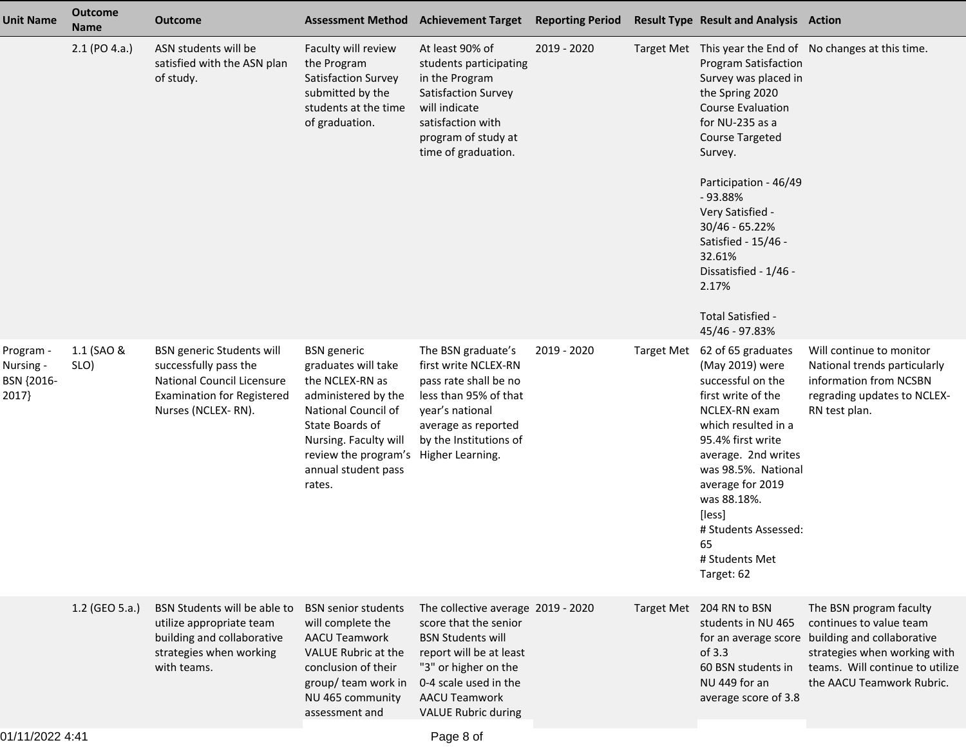| <b>Unit Name</b>                              | <b>Outcome</b><br><b>Name</b> | <b>Outcome</b>                                                                                                                                            |                                                                                                                                                                                                                 | <b>Assessment Method Achievement Target</b>                                                                                                                                                                               | <b>Reporting Period</b> |                   | <b>Result Type Result and Analysis Action</b>                                                                                                                                                                                                                                                          |                                                                                                                                                                                                       |
|-----------------------------------------------|-------------------------------|-----------------------------------------------------------------------------------------------------------------------------------------------------------|-----------------------------------------------------------------------------------------------------------------------------------------------------------------------------------------------------------------|---------------------------------------------------------------------------------------------------------------------------------------------------------------------------------------------------------------------------|-------------------------|-------------------|--------------------------------------------------------------------------------------------------------------------------------------------------------------------------------------------------------------------------------------------------------------------------------------------------------|-------------------------------------------------------------------------------------------------------------------------------------------------------------------------------------------------------|
|                                               | $2.1$ (PO 4.a.)               | ASN students will be<br>satisfied with the ASN plan<br>of study.                                                                                          | Faculty will review<br>the Program<br>Satisfaction Survey<br>submitted by the<br>students at the time<br>of graduation.                                                                                         | At least 90% of<br>students participating<br>in the Program<br>Satisfaction Survey<br>will indicate<br>satisfaction with<br>program of study at<br>time of graduation.                                                    | 2019 - 2020             |                   | <b>Program Satisfaction</b><br>Survey was placed in<br>the Spring 2020<br><b>Course Evaluation</b><br>for NU-235 as a<br><b>Course Targeted</b><br>Survey.                                                                                                                                             | Target Met This year the End of No changes at this time.                                                                                                                                              |
|                                               |                               |                                                                                                                                                           |                                                                                                                                                                                                                 |                                                                                                                                                                                                                           |                         |                   | Participation - 46/49<br>- 93.88%<br>Very Satisfied -<br>30/46 - 65.22%<br>Satisfied - 15/46 -<br>32.61%<br>Dissatisfied - 1/46 -<br>2.17%<br>Total Satisfied -<br>45/46 - 97.83%                                                                                                                      |                                                                                                                                                                                                       |
| Program -<br>Nursing -<br>BSN {2016-<br>2017} | 1.1 (SAO &<br>SLO)            | <b>BSN</b> generic Students will<br>successfully pass the<br><b>National Council Licensure</b><br><b>Examination for Registered</b><br>Nurses (NCLEX-RN). | <b>BSN</b> generic<br>graduates will take<br>the NCLEX-RN as<br>administered by the<br>National Council of<br>State Boards of<br>Nursing. Faculty will<br>review the program's<br>annual student pass<br>rates. | The BSN graduate's<br>first write NCLEX-RN<br>pass rate shall be no<br>less than 95% of that<br>year's national<br>average as reported<br>by the Institutions of<br>Higher Learning.                                      | 2019 - 2020             | <b>Target Met</b> | 62 of 65 graduates<br>(May 2019) were<br>successful on the<br>first write of the<br>NCLEX-RN exam<br>which resulted in a<br>95.4% first write<br>average. 2nd writes<br>was 98.5%. National<br>average for 2019<br>was 88.18%.<br>[less]<br># Students Assessed:<br>65<br># Students Met<br>Target: 62 | Will continue to monitor<br>National trends particularly<br>information from NCSBN<br>regrading updates to NCLEX-<br>RN test plan.                                                                    |
|                                               | 1.2 (GEO 5.a.)                | BSN Students will be able to<br>utilize appropriate team<br>building and collaborative<br>strategies when working<br>with teams.                          | <b>BSN</b> senior students<br>will complete the<br><b>AACU Teamwork</b><br>VALUE Rubric at the<br>conclusion of their<br>group/ team work in<br>NU 465 community<br>assessment and                              | The collective average 2019 - 2020<br>score that the senior<br><b>BSN Students will</b><br>report will be at least<br>"3" or higher on the<br>0-4 scale used in the<br><b>AACU Teamwork</b><br><b>VALUE Rubric during</b> |                         |                   | Target Met 204 RN to BSN<br>students in NU 465<br>of $3.3$<br>60 BSN students in<br>NU 449 for an<br>average score of 3.8                                                                                                                                                                              | The BSN program faculty<br>continues to value team<br>for an average score building and collaborative<br>strategies when working with<br>teams. Will continue to utilize<br>the AACU Teamwork Rubric. |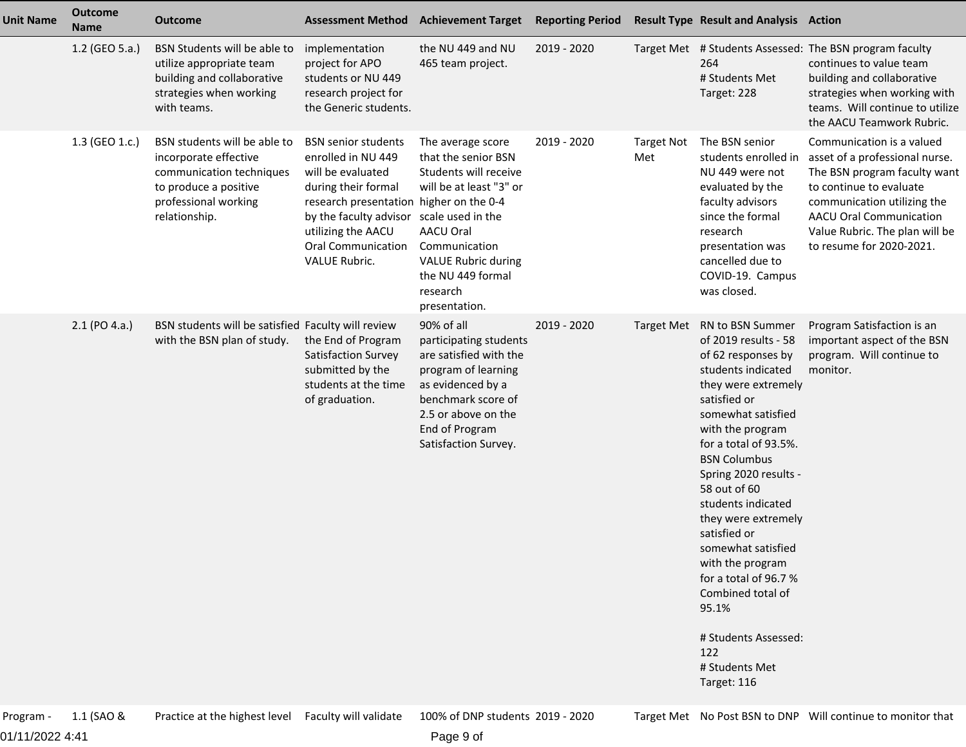| <b>Unit Name</b> | <b>Outcome</b><br><b>Name</b> | <b>Outcome</b>                                                                                                                                      | <b>Assessment Method Achievement Target</b>                                                                                                                                                                                                                    |                                                                                                                                                                                                            | <b>Reporting Period</b> |                          | <b>Result Type Result and Analysis Action</b>                                                                                                                                                                                                                                                                                                                                                                                                                                                |                                                                                                                                                                                                                                                       |
|------------------|-------------------------------|-----------------------------------------------------------------------------------------------------------------------------------------------------|----------------------------------------------------------------------------------------------------------------------------------------------------------------------------------------------------------------------------------------------------------------|------------------------------------------------------------------------------------------------------------------------------------------------------------------------------------------------------------|-------------------------|--------------------------|----------------------------------------------------------------------------------------------------------------------------------------------------------------------------------------------------------------------------------------------------------------------------------------------------------------------------------------------------------------------------------------------------------------------------------------------------------------------------------------------|-------------------------------------------------------------------------------------------------------------------------------------------------------------------------------------------------------------------------------------------------------|
|                  | 1.2 (GEO 5.a.)                | BSN Students will be able to<br>utilize appropriate team<br>building and collaborative<br>strategies when working<br>with teams.                    | implementation<br>project for APO<br>students or NU 449<br>research project for<br>the Generic students.                                                                                                                                                       | the NU 449 and NU<br>465 team project.                                                                                                                                                                     | 2019 - 2020             |                          | 264<br># Students Met<br>Target: 228                                                                                                                                                                                                                                                                                                                                                                                                                                                         | Target Met # Students Assessed: The BSN program faculty<br>continues to value team<br>building and collaborative<br>strategies when working with<br>teams. Will continue to utilize<br>the AACU Teamwork Rubric.                                      |
|                  | 1.3 (GEO 1.c.)                | BSN students will be able to<br>incorporate effective<br>communication techniques<br>to produce a positive<br>professional working<br>relationship. | <b>BSN</b> senior students<br>enrolled in NU 449<br>will be evaluated<br>during their formal<br>research presentation higher on the 0-4<br>by the faculty advisor scale used in the<br>utilizing the AACU<br><b>Oral Communication</b><br><b>VALUE Rubric.</b> | The average score<br>that the senior BSN<br>Students will receive<br>will be at least "3" or<br>AACU Oral<br>Communication<br><b>VALUE Rubric during</b><br>the NU 449 formal<br>research<br>presentation. | 2019 - 2020             | <b>Target Not</b><br>Met | The BSN senior<br>students enrolled in<br>NU 449 were not<br>evaluated by the<br>faculty advisors<br>since the formal<br>research<br>presentation was<br>cancelled due to<br>COVID-19. Campus<br>was closed.                                                                                                                                                                                                                                                                                 | Communication is a valued<br>asset of a professional nurse.<br>The BSN program faculty want<br>to continue to evaluate<br>communication utilizing the<br><b>AACU Oral Communication</b><br>Value Rubric. The plan will be<br>to resume for 2020-2021. |
|                  | $2.1$ (PO 4.a.)               | BSN students will be satisfied Faculty will review<br>with the BSN plan of study.                                                                   | the End of Program<br><b>Satisfaction Survey</b><br>submitted by the<br>students at the time<br>of graduation.                                                                                                                                                 | 90% of all<br>participating students<br>are satisfied with the<br>program of learning<br>as evidenced by a<br>benchmark score of<br>2.5 or above on the<br>End of Program<br>Satisfaction Survey.          | 2019 - 2020             | <b>Target Met</b>        | RN to BSN Summer<br>of 2019 results - 58<br>of 62 responses by<br>students indicated<br>they were extremely<br>satisfied or<br>somewhat satisfied<br>with the program<br>for a total of 93.5%.<br><b>BSN Columbus</b><br>Spring 2020 results -<br>58 out of 60<br>students indicated<br>they were extremely<br>satisfied or<br>somewhat satisfied<br>with the program<br>for a total of 96.7 %<br>Combined total of<br>95.1%<br># Students Assessed:<br>122<br># Students Met<br>Target: 116 | Program Satisfaction is an<br>important aspect of the BSN<br>program. Will continue to<br>monitor.                                                                                                                                                    |
| Program -        | 1.1 (SAO &                    | Practice at the highest level                                                                                                                       | Faculty will validate                                                                                                                                                                                                                                          | 100% of DNP students 2019 - 2020                                                                                                                                                                           |                         |                          |                                                                                                                                                                                                                                                                                                                                                                                                                                                                                              | Target Met No Post BSN to DNP Will continue to monitor that                                                                                                                                                                                           |

01/11/2022 4:41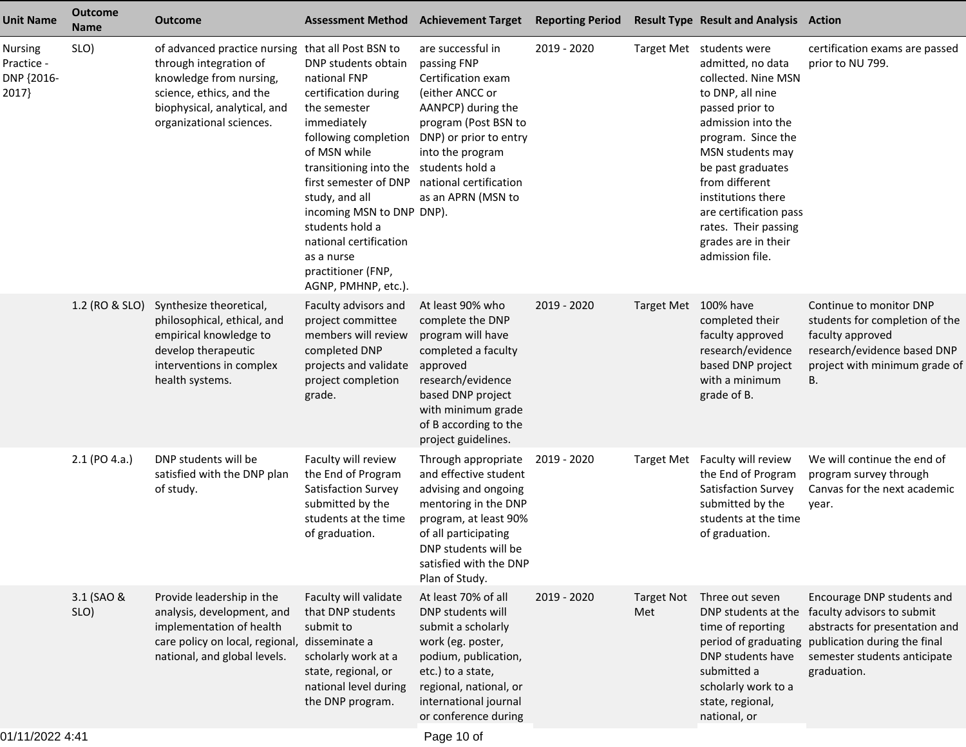| <b>Unit Name</b>                             | <b>Outcome</b><br><b>Name</b> | <b>Outcome</b>                                                                                                                                                                                 | <b>Assessment Method</b>                                                                                                                                                                                                                                                                                                                                     | <b>Achievement Target</b>                                                                                                                                                                                             | <b>Reporting Period</b> |                          | <b>Result Type Result and Analysis Action</b>                                                                                                                                                                                                                                                                                        |                                                                                                                                                                                                |
|----------------------------------------------|-------------------------------|------------------------------------------------------------------------------------------------------------------------------------------------------------------------------------------------|--------------------------------------------------------------------------------------------------------------------------------------------------------------------------------------------------------------------------------------------------------------------------------------------------------------------------------------------------------------|-----------------------------------------------------------------------------------------------------------------------------------------------------------------------------------------------------------------------|-------------------------|--------------------------|--------------------------------------------------------------------------------------------------------------------------------------------------------------------------------------------------------------------------------------------------------------------------------------------------------------------------------------|------------------------------------------------------------------------------------------------------------------------------------------------------------------------------------------------|
| Nursing<br>Practice -<br>DNP {2016-<br>2017} | SLO)                          | of advanced practice nursing that all Post BSN to<br>through integration of<br>knowledge from nursing,<br>science, ethics, and the<br>biophysical, analytical, and<br>organizational sciences. | DNP students obtain<br>national FNP<br>certification during<br>the semester<br>immediately<br>following completion<br>of MSN while<br>transitioning into the students hold a<br>first semester of DNP<br>study, and all<br>incoming MSN to DNP DNP).<br>students hold a<br>national certification<br>as a nurse<br>practitioner (FNP,<br>AGNP, PMHNP, etc.). | are successful in<br>passing FNP<br>Certification exam<br>(either ANCC or<br>AANPCP) during the<br>program (Post BSN to<br>DNP) or prior to entry<br>into the program<br>national certification<br>as an APRN (MSN to | 2019 - 2020             |                          | Target Met students were<br>admitted, no data<br>collected. Nine MSN<br>to DNP, all nine<br>passed prior to<br>admission into the<br>program. Since the<br>MSN students may<br>be past graduates<br>from different<br>institutions there<br>are certification pass<br>rates. Their passing<br>grades are in their<br>admission file. | certification exams are passed<br>prior to NU 799.                                                                                                                                             |
|                                              | 1.2 (RO & SLO)                | Synthesize theoretical,<br>philosophical, ethical, and<br>empirical knowledge to<br>develop therapeutic<br>interventions in complex<br>health systems.                                         | Faculty advisors and<br>project committee<br>members will review<br>completed DNP<br>projects and validate<br>project completion<br>grade.                                                                                                                                                                                                                   | At least 90% who<br>complete the DNP<br>program will have<br>completed a faculty<br>approved<br>research/evidence<br>based DNP project<br>with minimum grade<br>of B according to the<br>project guidelines.          | 2019 - 2020             | Target Met 100% have     | completed their<br>faculty approved<br>research/evidence<br>based DNP project<br>with a minimum<br>grade of B.                                                                                                                                                                                                                       | Continue to monitor DNP<br>students for completion of the<br>faculty approved<br>research/evidence based DNP<br>project with minimum grade of<br>В.                                            |
|                                              | 2.1 (PO 4.a.)                 | DNP students will be<br>satisfied with the DNP plan<br>of study.                                                                                                                               | Faculty will review<br>the End of Program<br>Satisfaction Survey<br>submitted by the<br>students at the time<br>of graduation.                                                                                                                                                                                                                               | Through appropriate<br>and effective student<br>advising and ongoing<br>mentoring in the DNP<br>program, at least 90%<br>of all participating<br>DNP students will be<br>satisfied with the DNP<br>Plan of Study.     | 2019 - 2020             |                          | Target Met Faculty will review<br>the End of Program<br>Satisfaction Survey<br>submitted by the<br>students at the time<br>of graduation.                                                                                                                                                                                            | We will continue the end of<br>program survey through<br>Canvas for the next academic<br>year.                                                                                                 |
|                                              | 3.1 (SAO &<br>SLO)            | Provide leadership in the<br>analysis, development, and<br>implementation of health<br>care policy on local, regional, disseminate a<br>national, and global levels.                           | Faculty will validate<br>that DNP students<br>submit to<br>scholarly work at a<br>state, regional, or<br>national level during<br>the DNP program.                                                                                                                                                                                                           | At least 70% of all<br>DNP students will<br>submit a scholarly<br>work (eg. poster,<br>podium, publication,<br>etc.) to a state,<br>regional, national, or<br>international journal<br>or conference during           | 2019 - 2020             | <b>Target Not</b><br>Met | Three out seven<br>DNP students at the<br>time of reporting<br>DNP students have<br>submitted a<br>scholarly work to a<br>state, regional,<br>national, or                                                                                                                                                                           | Encourage DNP students and<br>faculty advisors to submit<br>abstracts for presentation and<br>period of graduating publication during the final<br>semester students anticipate<br>graduation. |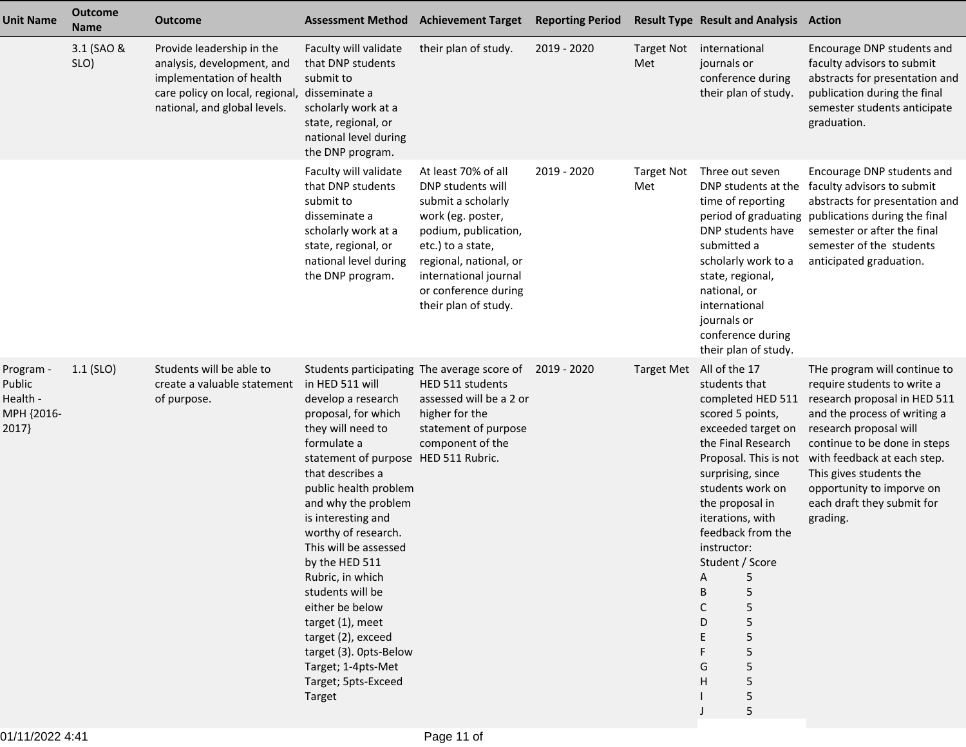| <b>Unit Name</b>                                       | <b>Outcome</b><br><b>Name</b> | <b>Outcome</b>                                                                                                                                                       | <b>Assessment Method</b>                                                                                                                                                                                                                                                                                                                                                                                                                                                                   | <b>Achievement Target</b>                                                                                                                                                                                                           | <b>Reporting Period</b> |                          | <b>Result Type Result and Analysis Action</b>                                                                                                                                                                                                                                                                                         |                                                                                                                                                                                                                                                                                                                                              |
|--------------------------------------------------------|-------------------------------|----------------------------------------------------------------------------------------------------------------------------------------------------------------------|--------------------------------------------------------------------------------------------------------------------------------------------------------------------------------------------------------------------------------------------------------------------------------------------------------------------------------------------------------------------------------------------------------------------------------------------------------------------------------------------|-------------------------------------------------------------------------------------------------------------------------------------------------------------------------------------------------------------------------------------|-------------------------|--------------------------|---------------------------------------------------------------------------------------------------------------------------------------------------------------------------------------------------------------------------------------------------------------------------------------------------------------------------------------|----------------------------------------------------------------------------------------------------------------------------------------------------------------------------------------------------------------------------------------------------------------------------------------------------------------------------------------------|
|                                                        | 3.1 (SAO &<br>SLO)            | Provide leadership in the<br>analysis, development, and<br>implementation of health<br>care policy on local, regional, disseminate a<br>national, and global levels. | Faculty will validate<br>that DNP students<br>submit to<br>scholarly work at a<br>state, regional, or<br>national level during<br>the DNP program.                                                                                                                                                                                                                                                                                                                                         | their plan of study.                                                                                                                                                                                                                | 2019 - 2020             | <b>Target Not</b><br>Met | international<br>journals or<br>conference during<br>their plan of study.                                                                                                                                                                                                                                                             | Encourage DNP students and<br>faculty advisors to submit<br>abstracts for presentation and<br>publication during the final<br>semester students anticipate<br>graduation.                                                                                                                                                                    |
|                                                        |                               |                                                                                                                                                                      | Faculty will validate<br>that DNP students<br>submit to<br>disseminate a<br>scholarly work at a<br>state, regional, or<br>national level during<br>the DNP program.                                                                                                                                                                                                                                                                                                                        | At least 70% of all<br>DNP students will<br>submit a scholarly<br>work (eg. poster,<br>podium, publication,<br>etc.) to a state,<br>regional, national, or<br>international journal<br>or conference during<br>their plan of study. | 2019 - 2020             | <b>Target Not</b><br>Met | Three out seven<br>DNP students at the<br>time of reporting<br>DNP students have<br>submitted a<br>scholarly work to a<br>state, regional,<br>national, or<br>international<br>journals or<br>conference during<br>their plan of study.                                                                                               | Encourage DNP students and<br>faculty advisors to submit<br>abstracts for presentation and<br>period of graduating publications during the final<br>semester or after the final<br>semester of the students<br>anticipated graduation.                                                                                                       |
| Program -<br>Public<br>Health -<br>MPH {2016-<br>2017} | $1.1$ (SLO)                   | Students will be able to<br>create a valuable statement<br>of purpose.                                                                                               | in HED 511 will<br>develop a research<br>proposal, for which<br>they will need to<br>formulate a<br>statement of purpose HED 511 Rubric.<br>that describes a<br>public health problem<br>and why the problem<br>is interesting and<br>worthy of research.<br>This will be assessed<br>by the HED 511<br>Rubric, in which<br>students will be<br>either be below<br>target (1), meet<br>target (2), exceed<br>target (3). Opts-Below<br>Target; 1-4pts-Met<br>Target; 5pts-Exceed<br>Target | Students participating The average score of 2019 - 2020<br>HED 511 students<br>assessed will be a 2 or<br>higher for the<br>statement of purpose<br>component of the                                                                |                         | <b>Target Met</b>        | All of the 17<br>students that<br>completed HED 511<br>scored 5 points,<br>exceeded target on<br>the Final Research<br>surprising, since<br>students work on<br>the proposal in<br>iterations, with<br>feedback from the<br>instructor:<br>Student / Score<br>5<br>5<br>B<br>5<br>C<br>5<br>D<br>5<br>5<br>5<br>G<br>5<br>н<br>5<br>5 | THe program will continue to<br>require students to write a<br>research proposal in HED 511<br>and the process of writing a<br>research proposal will<br>continue to be done in steps<br>Proposal. This is not with feedback at each step.<br>This gives students the<br>opportunity to imporve on<br>each draft they submit for<br>grading. |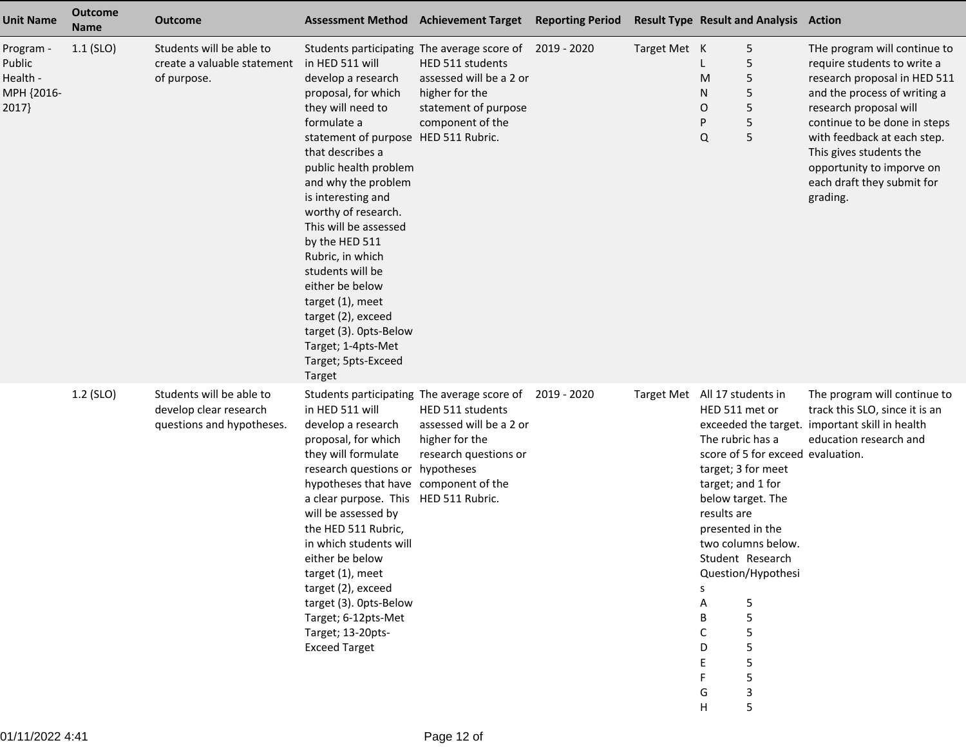| <b>Unit Name</b>                                       | <b>Outcome</b><br><b>Name</b> | <b>Outcome</b>                                                                  |                                                                                                                                                                                                                                                                                                                                                                                                                                                                                            | Assessment Method Achievement Target Reporting Period                                                                                                                               |              | <b>Result Type Result and Analysis Action</b>                                                                                                                                                                                                                                                                                      |                                                                                                                                                                                                                                                                                                                        |
|--------------------------------------------------------|-------------------------------|---------------------------------------------------------------------------------|--------------------------------------------------------------------------------------------------------------------------------------------------------------------------------------------------------------------------------------------------------------------------------------------------------------------------------------------------------------------------------------------------------------------------------------------------------------------------------------------|-------------------------------------------------------------------------------------------------------------------------------------------------------------------------------------|--------------|------------------------------------------------------------------------------------------------------------------------------------------------------------------------------------------------------------------------------------------------------------------------------------------------------------------------------------|------------------------------------------------------------------------------------------------------------------------------------------------------------------------------------------------------------------------------------------------------------------------------------------------------------------------|
| Program -<br>Public<br>Health -<br>MPH {2016-<br>2017} | $1.1$ (SLO)                   | Students will be able to<br>create a valuable statement<br>of purpose.          | in HED 511 will<br>develop a research<br>proposal, for which<br>they will need to<br>formulate a<br>statement of purpose HED 511 Rubric.<br>that describes a<br>public health problem<br>and why the problem<br>is interesting and<br>worthy of research.<br>This will be assessed<br>by the HED 511<br>Rubric, in which<br>students will be<br>either be below<br>target (1), meet<br>target (2), exceed<br>target (3). Opts-Below<br>Target; 1-4pts-Met<br>Target; 5pts-Exceed<br>Target | Students participating The average score of 2019 - 2020<br>HED 511 students<br>assessed will be a 2 or<br>higher for the<br>statement of purpose<br>component of the                | Target Met K | 5<br>5<br>5<br>M<br>5<br>N<br>0<br>5<br>5<br>P<br>$\mathsf Q$<br>5                                                                                                                                                                                                                                                                 | THe program will continue to<br>require students to write a<br>research proposal in HED 511<br>and the process of writing a<br>research proposal will<br>continue to be done in steps<br>with feedback at each step.<br>This gives students the<br>opportunity to imporve on<br>each draft they submit for<br>grading. |
|                                                        | 1.2 (SLO)                     | Students will be able to<br>develop clear research<br>questions and hypotheses. | in HED 511 will<br>develop a research<br>proposal, for which<br>they will formulate<br>research questions or<br>hypotheses that have<br>a clear purpose. This HED 511 Rubric.<br>will be assessed by<br>the HED 511 Rubric,<br>in which students will<br>either be below<br>target (1), meet<br>target (2), exceed<br>target (3). Opts-Below<br>Target; 6-12pts-Met<br>Target; 13-20pts-<br><b>Exceed Target</b>                                                                           | Students participating The average score of 2019 - 2020<br>HED 511 students<br>assessed will be a 2 or<br>higher for the<br>research questions or<br>hypotheses<br>component of the |              | Target Met All 17 students in<br>HED 511 met or<br>The rubric has a<br>score of 5 for exceed evaluation.<br>target; 3 for meet<br>target; and 1 for<br>below target. The<br>results are<br>presented in the<br>two columns below.<br>Student Research<br>Question/Hypothesi<br>s<br>А<br>5<br>B<br>C<br>D<br>5<br>3<br>G<br>5<br>н | The program will continue to<br>track this SLO, since it is an<br>exceeded the target. important skill in health<br>education research and                                                                                                                                                                             |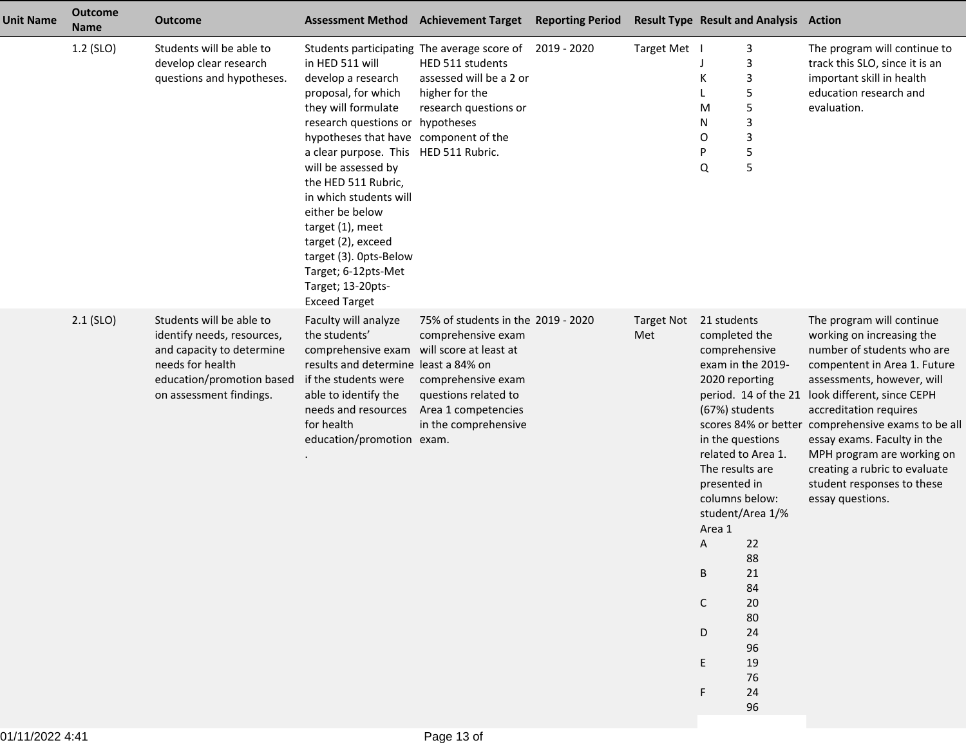| <b>Unit Name</b> | <b>Outcome</b><br><b>Name</b> | <b>Outcome</b>                                                                                                                                                  | <b>Assessment Method</b>                                                                                                                                                                                                                                                                                                                                                                                         | <b>Achievement Target</b>                                                                                                                                                           | <b>Reporting Period</b> |                          | <b>Result Type Result and Analysis Action</b>                                                                                                                                                                                                                                                                                                                                     |                                                                                                                                                                                                                                                                                                                                                                                                                  |
|------------------|-------------------------------|-----------------------------------------------------------------------------------------------------------------------------------------------------------------|------------------------------------------------------------------------------------------------------------------------------------------------------------------------------------------------------------------------------------------------------------------------------------------------------------------------------------------------------------------------------------------------------------------|-------------------------------------------------------------------------------------------------------------------------------------------------------------------------------------|-------------------------|--------------------------|-----------------------------------------------------------------------------------------------------------------------------------------------------------------------------------------------------------------------------------------------------------------------------------------------------------------------------------------------------------------------------------|------------------------------------------------------------------------------------------------------------------------------------------------------------------------------------------------------------------------------------------------------------------------------------------------------------------------------------------------------------------------------------------------------------------|
|                  | 1.2 (SLO)                     | Students will be able to<br>develop clear research<br>questions and hypotheses.                                                                                 | in HED 511 will<br>develop a research<br>proposal, for which<br>they will formulate<br>research questions or<br>hypotheses that have<br>a clear purpose. This HED 511 Rubric.<br>will be assessed by<br>the HED 511 Rubric,<br>in which students will<br>either be below<br>target (1), meet<br>target (2), exceed<br>target (3). Opts-Below<br>Target; 6-12pts-Met<br>Target; 13-20pts-<br><b>Exceed Target</b> | Students participating The average score of 2019 - 2020<br>HED 511 students<br>assessed will be a 2 or<br>higher for the<br>research questions or<br>hypotheses<br>component of the |                         | Target Met               | 3<br>3<br>3<br>К<br>5<br>5<br>M<br>3<br>N<br>3<br>O<br>5<br>P<br>5<br>Q                                                                                                                                                                                                                                                                                                           | The program will continue to<br>track this SLO, since it is an<br>important skill in health<br>education research and<br>evaluation.                                                                                                                                                                                                                                                                             |
|                  | $2.1$ (SLO)                   | Students will be able to<br>identify needs, resources,<br>and capacity to determine<br>needs for health<br>education/promotion based<br>on assessment findings. | Faculty will analyze<br>the students'<br>comprehensive exam<br>results and determine least a 84% on<br>if the students were<br>able to identify the<br>needs and resources<br>for health<br>education/promotion exam.                                                                                                                                                                                            | 75% of students in the 2019 - 2020<br>comprehensive exam<br>will score at least at<br>comprehensive exam<br>questions related to<br>Area 1 competencies<br>in the comprehensive     |                         | <b>Target Not</b><br>Met | 21 students<br>completed the<br>comprehensive<br>exam in the 2019-<br>2020 reporting<br>period. 14 of the 21<br>(67%) students<br>in the questions<br>related to Area 1.<br>The results are<br>presented in<br>columns below:<br>student/Area 1/%<br>Area 1<br>22<br>A<br>88<br>B<br>21<br>84<br>$\mathsf{C}$<br>$20\,$<br>80<br>24<br>D<br>96<br>19<br>E<br>76<br>24<br>F.<br>96 | The program will continue<br>working on increasing the<br>number of students who are<br>compentent in Area 1. Future<br>assessments, however, will<br>look different, since CEPH<br>accreditation requires<br>scores 84% or better comprehensive exams to be all<br>essay exams. Faculty in the<br>MPH program are working on<br>creating a rubric to evaluate<br>student responses to these<br>essay questions. |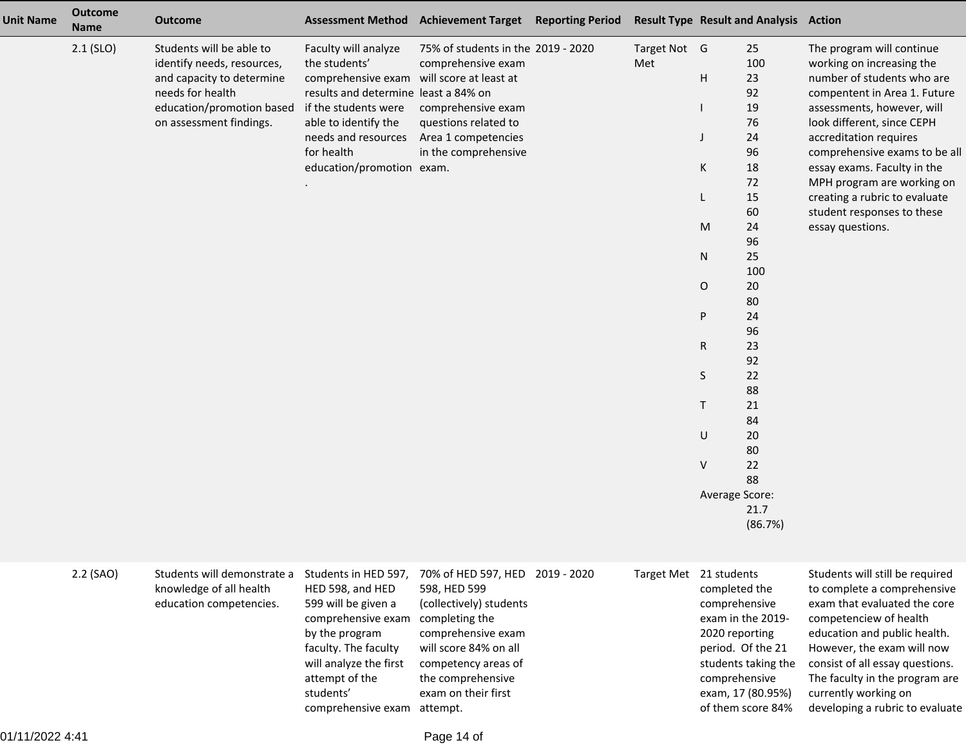| <b>Unit Name</b> | <b>Outcome</b><br><b>Name</b> | <b>Outcome</b>                                                                                                                                                                                 | <b>Assessment Method</b>                                                                                                                                                                                                                      | <b>Achievement Target</b>                                                                                                                                                                                          | <b>Reporting Period</b> | <b>Result Type Result and Analysis Action</b> |                                                                                                                      |                                                                                                                                                                                                                   |                                                                                                                                                                                                                                                                                                                                                                                                                                |
|------------------|-------------------------------|------------------------------------------------------------------------------------------------------------------------------------------------------------------------------------------------|-----------------------------------------------------------------------------------------------------------------------------------------------------------------------------------------------------------------------------------------------|--------------------------------------------------------------------------------------------------------------------------------------------------------------------------------------------------------------------|-------------------------|-----------------------------------------------|----------------------------------------------------------------------------------------------------------------------|-------------------------------------------------------------------------------------------------------------------------------------------------------------------------------------------------------------------|--------------------------------------------------------------------------------------------------------------------------------------------------------------------------------------------------------------------------------------------------------------------------------------------------------------------------------------------------------------------------------------------------------------------------------|
|                  | $2.1$ (SLO)<br>2.2 (SAO)      | Students will be able to<br>identify needs, resources,<br>and capacity to determine<br>needs for health<br>education/promotion based<br>on assessment findings.<br>Students will demonstrate a | Faculty will analyze<br>the students'<br>comprehensive exam<br>results and determine least a 84% on<br>if the students were<br>able to identify the<br>needs and resources<br>for health<br>education/promotion exam.<br>Students in HED 597, | 75% of students in the 2019 - 2020<br>comprehensive exam<br>will score at least at<br>comprehensive exam<br>questions related to<br>Area 1 competencies<br>in the comprehensive<br>70% of HED 597, HED 2019 - 2020 |                         | Target Not G<br>Met<br>Target Met 21 students | Н<br>J<br>К<br>L<br>M<br>N<br>$\mathsf O$<br>P<br>$\mathsf{R}$<br>S<br>$\mathsf{T}$<br>U<br>$\vee$<br>Average Score: | 25<br>100<br>23<br>92<br>19<br>76<br>24<br>96<br>$18\,$<br>72<br>15<br>60<br>24<br>96<br>25<br>100<br>$20\,$<br>80<br>24<br>96<br>23<br>92<br>22<br>88<br>21<br>84<br>$20\,$<br>80<br>22<br>88<br>21.7<br>(86.7%) | The program will continue<br>working on increasing the<br>number of students who are<br>compentent in Area 1. Future<br>assessments, however, will<br>look different, since CEPH<br>accreditation requires<br>comprehensive exams to be all<br>essay exams. Faculty in the<br>MPH program are working on<br>creating a rubric to evaluate<br>student responses to these<br>essay questions.<br>Students will still be required |
|                  |                               | knowledge of all health<br>education competencies.                                                                                                                                             | HED 598, and HED<br>599 will be given a<br>comprehensive exam<br>by the program<br>faculty. The faculty<br>will analyze the first<br>attempt of the<br>students'                                                                              | 598, HED 599<br>(collectively) students<br>completing the<br>comprehensive exam<br>will score 84% on all<br>competency areas of<br>the comprehensive<br>exam on their first                                        |                         |                                               | completed the<br>comprehensive<br>2020 reporting<br>period. Of the 21<br>comprehensive                               | exam in the 2019-<br>students taking the<br>exam, 17 (80.95%)                                                                                                                                                     | to complete a comprehensive<br>exam that evaluated the core<br>competenciew of health<br>education and public health.<br>However, the exam will now<br>consist of all essay questions.<br>The faculty in the program are<br>currently working on                                                                                                                                                                               |

of them score 84% developing a rubric to evaluate

comprehensive exam attempt.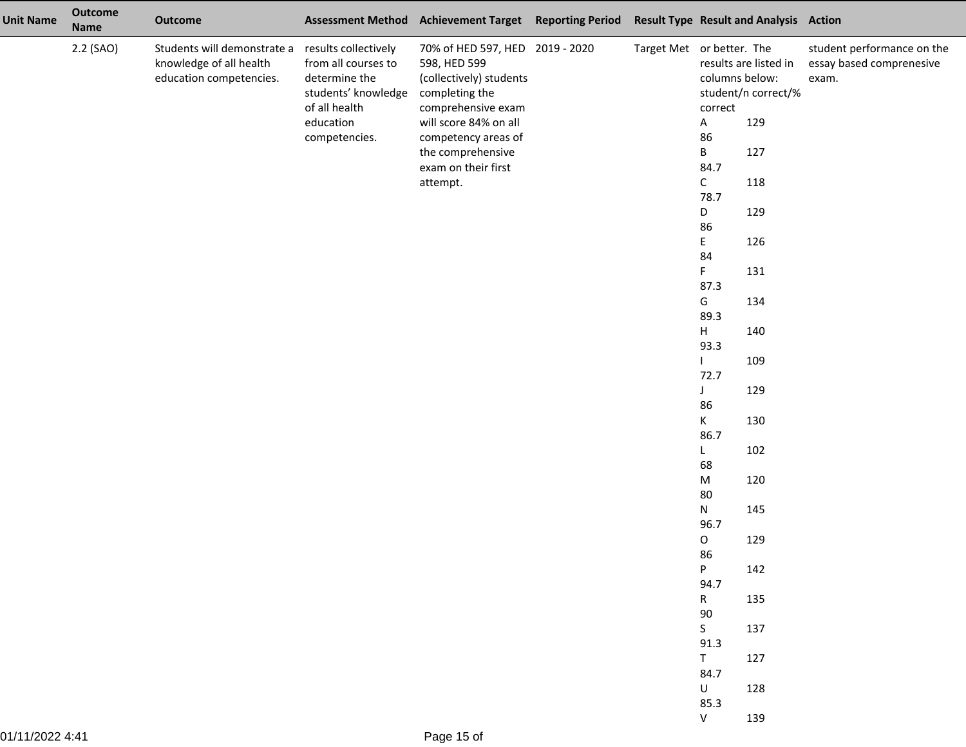| <b>Unit Name</b> | <b>Outcome</b><br><b>Name</b> | <b>Outcome</b>                                                                    |                                                                                                                                    | Assessment Method Achievement Target Reporting Period                                                                                                                                                                      |                           |                                                                                                               | <b>Result Type Result and Analysis Action</b>                                          |                                                                 |
|------------------|-------------------------------|-----------------------------------------------------------------------------------|------------------------------------------------------------------------------------------------------------------------------------|----------------------------------------------------------------------------------------------------------------------------------------------------------------------------------------------------------------------------|---------------------------|---------------------------------------------------------------------------------------------------------------|----------------------------------------------------------------------------------------|-----------------------------------------------------------------|
|                  | 2.2 (SAO)                     | Students will demonstrate a<br>knowledge of all health<br>education competencies. | results collectively<br>from all courses to<br>determine the<br>students' knowledge<br>of all health<br>education<br>competencies. | 70% of HED 597, HED 2019 - 2020<br>598, HED 599<br>(collectively) students<br>completing the<br>comprehensive exam<br>will score 84% on all<br>competency areas of<br>the comprehensive<br>exam on their first<br>attempt. | Target Met or better. The | columns below:<br>correct<br>A<br>86<br>B<br>84.7<br>$\mathsf{C}$<br>78.7<br>D<br>86<br>E<br>84<br>F.<br>87.3 | results are listed in<br>student/n correct/%<br>129<br>127<br>118<br>129<br>126<br>131 | student performance on the<br>essay based comprenesive<br>exam. |
|                  |                               |                                                                                   |                                                                                                                                    |                                                                                                                                                                                                                            |                           | G<br>89.3<br>H                                                                                                | 134<br>140                                                                             |                                                                 |
|                  |                               |                                                                                   |                                                                                                                                    |                                                                                                                                                                                                                            |                           | 93.3<br>72.7                                                                                                  | 109                                                                                    |                                                                 |
|                  |                               |                                                                                   |                                                                                                                                    |                                                                                                                                                                                                                            |                           | J<br>86<br>K<br>86.7                                                                                          | 129<br>130                                                                             |                                                                 |
|                  |                               |                                                                                   |                                                                                                                                    |                                                                                                                                                                                                                            |                           | L.<br>68<br>${\sf M}$                                                                                         | 102<br>120                                                                             |                                                                 |
|                  |                               |                                                                                   |                                                                                                                                    |                                                                                                                                                                                                                            |                           | 80<br>N<br>96.7<br>$\mathsf O$                                                                                | 145<br>129                                                                             |                                                                 |
|                  |                               |                                                                                   |                                                                                                                                    |                                                                                                                                                                                                                            |                           | 86<br>P<br>94.7                                                                                               | 142                                                                                    |                                                                 |
|                  |                               |                                                                                   |                                                                                                                                    |                                                                                                                                                                                                                            |                           | R<br>90<br>S<br>91.3                                                                                          | 135<br>137                                                                             |                                                                 |
|                  |                               |                                                                                   |                                                                                                                                    |                                                                                                                                                                                                                            |                           | T<br>84.7<br>$\mathsf{U}$                                                                                     | 127<br>128                                                                             |                                                                 |
|                  |                               |                                                                                   |                                                                                                                                    |                                                                                                                                                                                                                            |                           | 85.3<br>V                                                                                                     | 139                                                                                    |                                                                 |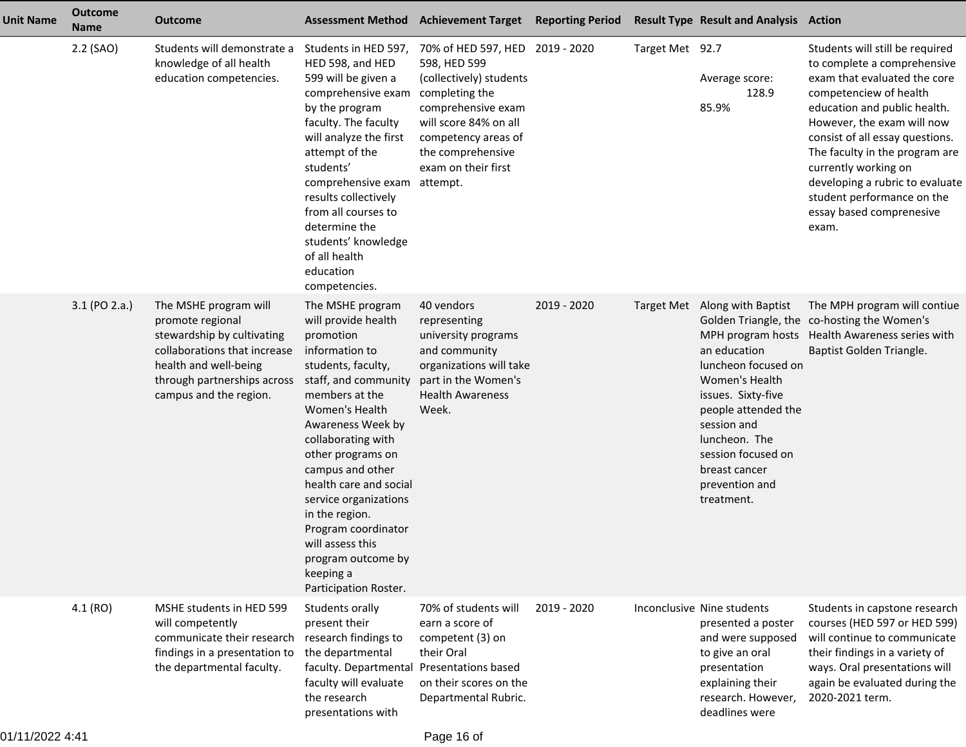| <b>Unit Name</b> | <b>Outcome</b><br><b>Name</b> | <b>Outcome</b>                                                                                                                                                                            | <b>Assessment Method</b>                                                                                                                                                                                                                                                                                                                                                                                                 | <b>Achievement Target Reporting Period</b>                                                                                                                                                                                 |             |                 | <b>Result Type Result and Analysis Action</b>                                                                                                                                                                                              |                                                                                                                                                                                                                                                                                                                                                                                           |
|------------------|-------------------------------|-------------------------------------------------------------------------------------------------------------------------------------------------------------------------------------------|--------------------------------------------------------------------------------------------------------------------------------------------------------------------------------------------------------------------------------------------------------------------------------------------------------------------------------------------------------------------------------------------------------------------------|----------------------------------------------------------------------------------------------------------------------------------------------------------------------------------------------------------------------------|-------------|-----------------|--------------------------------------------------------------------------------------------------------------------------------------------------------------------------------------------------------------------------------------------|-------------------------------------------------------------------------------------------------------------------------------------------------------------------------------------------------------------------------------------------------------------------------------------------------------------------------------------------------------------------------------------------|
|                  | 2.2 (SAO)                     | Students will demonstrate a<br>knowledge of all health<br>education competencies.                                                                                                         | Students in HED 597,<br>HED 598, and HED<br>599 will be given a<br>comprehensive exam<br>by the program<br>faculty. The faculty<br>will analyze the first<br>attempt of the<br>students'<br>comprehensive exam<br>results collectively<br>from all courses to<br>determine the<br>students' knowledge<br>of all health<br>education<br>competencies.                                                                     | 70% of HED 597, HED 2019 - 2020<br>598, HED 599<br>(collectively) students<br>completing the<br>comprehensive exam<br>will score 84% on all<br>competency areas of<br>the comprehensive<br>exam on their first<br>attempt. |             | Target Met 92.7 | Average score:<br>128.9<br>85.9%                                                                                                                                                                                                           | Students will still be required<br>to complete a comprehensive<br>exam that evaluated the core<br>competenciew of health<br>education and public health.<br>However, the exam will now<br>consist of all essay questions.<br>The faculty in the program are<br>currently working on<br>developing a rubric to evaluate<br>student performance on the<br>essay based comprenesive<br>exam. |
|                  | 3.1 (PO 2.a.)                 | The MSHE program will<br>promote regional<br>stewardship by cultivating<br>collaborations that increase<br>health and well-being<br>through partnerships across<br>campus and the region. | The MSHE program<br>will provide health<br>promotion<br>information to<br>students, faculty,<br>staff, and community<br>members at the<br>Women's Health<br>Awareness Week by<br>collaborating with<br>other programs on<br>campus and other<br>health care and social<br>service organizations<br>in the region.<br>Program coordinator<br>will assess this<br>program outcome by<br>keeping a<br>Participation Roster. | 40 vendors<br>representing<br>university programs<br>and community<br>organizations will take<br>part in the Women's<br><b>Health Awareness</b><br>Week.                                                                   | 2019 - 2020 |                 | Target Met Along with Baptist<br>an education<br>luncheon focused on<br>Women's Health<br>issues. Sixty-five<br>people attended the<br>session and<br>luncheon. The<br>session focused on<br>breast cancer<br>prevention and<br>treatment. | The MPH program will contiue<br>Golden Triangle, the co-hosting the Women's<br>MPH program hosts Health Awareness series with<br>Baptist Golden Triangle.                                                                                                                                                                                                                                 |
|                  | 4.1(RO)                       | MSHE students in HED 599<br>will competently<br>communicate their research<br>findings in a presentation to<br>the departmental faculty.                                                  | Students orally<br>present their<br>research findings to<br>the departmental<br>faculty. Departmental Presentations based<br>faculty will evaluate<br>the research<br>presentations with                                                                                                                                                                                                                                 | 70% of students will<br>earn a score of<br>competent (3) on<br>their Oral<br>on their scores on the<br>Departmental Rubric.                                                                                                | 2019 - 2020 |                 | Inconclusive Nine students<br>presented a poster<br>and were supposed<br>to give an oral<br>presentation<br>explaining their<br>research. However,<br>deadlines were                                                                       | Students in capstone research<br>courses (HED 597 or HED 599)<br>will continue to communicate<br>their findings in a variety of<br>ways. Oral presentations will<br>again be evaluated during the<br>2020-2021 term.                                                                                                                                                                      |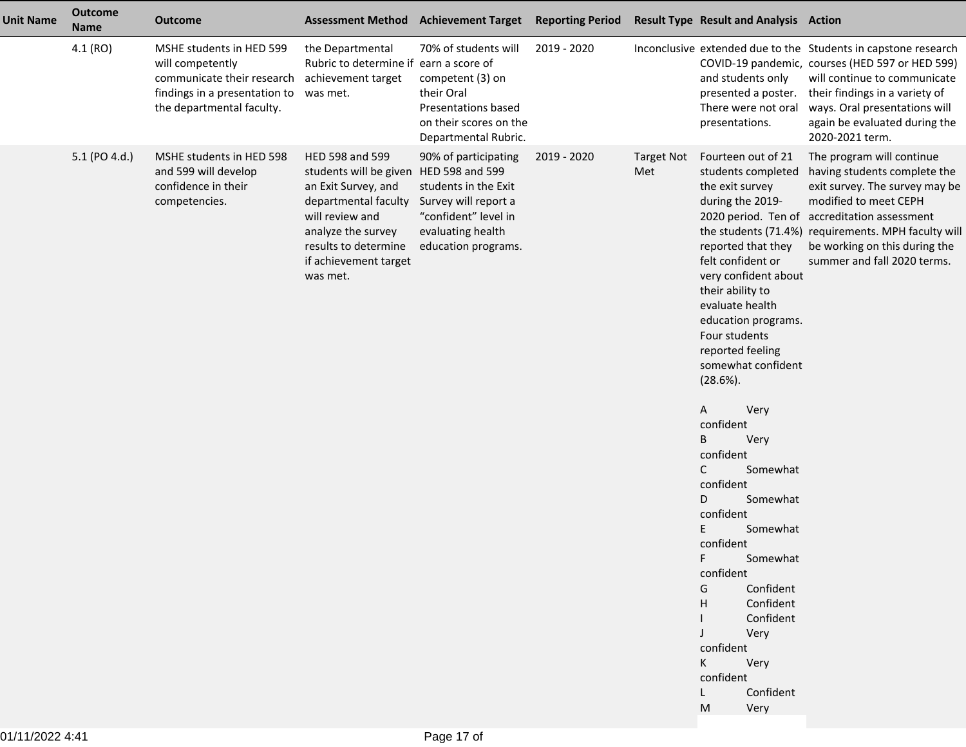| <b>Unit Name</b> | <b>Outcome</b><br><b>Name</b> | <b>Outcome</b>                                                                                                                           |                                                                                                                                                                                                                | Assessment Method Achievement Target Reporting Period Result Type Result and Analysis Action                                             |             |                          |                                                                                                                                                                                                                                                                                                                                                                                                                                                                                                                                                                                                         |                                                                                                                                                                                                                                                                                             |
|------------------|-------------------------------|------------------------------------------------------------------------------------------------------------------------------------------|----------------------------------------------------------------------------------------------------------------------------------------------------------------------------------------------------------------|------------------------------------------------------------------------------------------------------------------------------------------|-------------|--------------------------|---------------------------------------------------------------------------------------------------------------------------------------------------------------------------------------------------------------------------------------------------------------------------------------------------------------------------------------------------------------------------------------------------------------------------------------------------------------------------------------------------------------------------------------------------------------------------------------------------------|---------------------------------------------------------------------------------------------------------------------------------------------------------------------------------------------------------------------------------------------------------------------------------------------|
|                  | 4.1(RO)                       | MSHE students in HED 599<br>will competently<br>communicate their research<br>findings in a presentation to<br>the departmental faculty. | the Departmental<br>Rubric to determine if earn a score of<br>achievement target<br>was met.                                                                                                                   | 70% of students will<br>competent (3) on<br>their Oral<br>Presentations based<br>on their scores on the<br>Departmental Rubric.          | 2019 - 2020 |                          | and students only<br>presented a poster.<br>There were not oral<br>presentations.                                                                                                                                                                                                                                                                                                                                                                                                                                                                                                                       | Inconclusive extended due to the Students in capstone research<br>COVID-19 pandemic, courses (HED 597 or HED 599)<br>will continue to communicate<br>their findings in a variety of<br>ways. Oral presentations will<br>again be evaluated during the<br>2020-2021 term.                    |
|                  | 5.1 (PO 4.d.)                 | MSHE students in HED 598<br>and 599 will develop<br>confidence in their<br>competencies.                                                 | HED 598 and 599<br>students will be given HED 598 and 599<br>an Exit Survey, and<br>departmental faculty<br>will review and<br>analyze the survey<br>results to determine<br>if achievement target<br>was met. | 90% of participating<br>students in the Exit<br>Survey will report a<br>"confident" level in<br>evaluating health<br>education programs. | 2019 - 2020 | <b>Target Not</b><br>Met | Fourteen out of 21<br>students completed<br>the exit survey<br>during the 2019-<br>reported that they<br>felt confident or<br>very confident about<br>their ability to<br>evaluate health<br>education programs.<br>Four students<br>reported feeling<br>somewhat confident<br>$(28.6\%)$ .<br>Very<br>A<br>confident<br>Very<br>B<br>confident<br>Somewhat<br>C<br>confident<br>D<br>Somewhat<br>confident<br>E<br>Somewhat<br>confident<br>Somewhat<br>F.<br>confident<br>Confident<br>G<br>Confident<br>н<br>Confident<br>Very<br>confident<br>Very<br>К<br>confident<br>Confident<br>L<br>M<br>Very | The program will continue<br>having students complete the<br>exit survey. The survey may be<br>modified to meet CEPH<br>2020 period. Ten of accreditation assessment<br>the students (71.4%) requirements. MPH faculty will<br>be working on this during the<br>summer and fall 2020 terms. |
|                  |                               |                                                                                                                                          |                                                                                                                                                                                                                |                                                                                                                                          |             |                          |                                                                                                                                                                                                                                                                                                                                                                                                                                                                                                                                                                                                         |                                                                                                                                                                                                                                                                                             |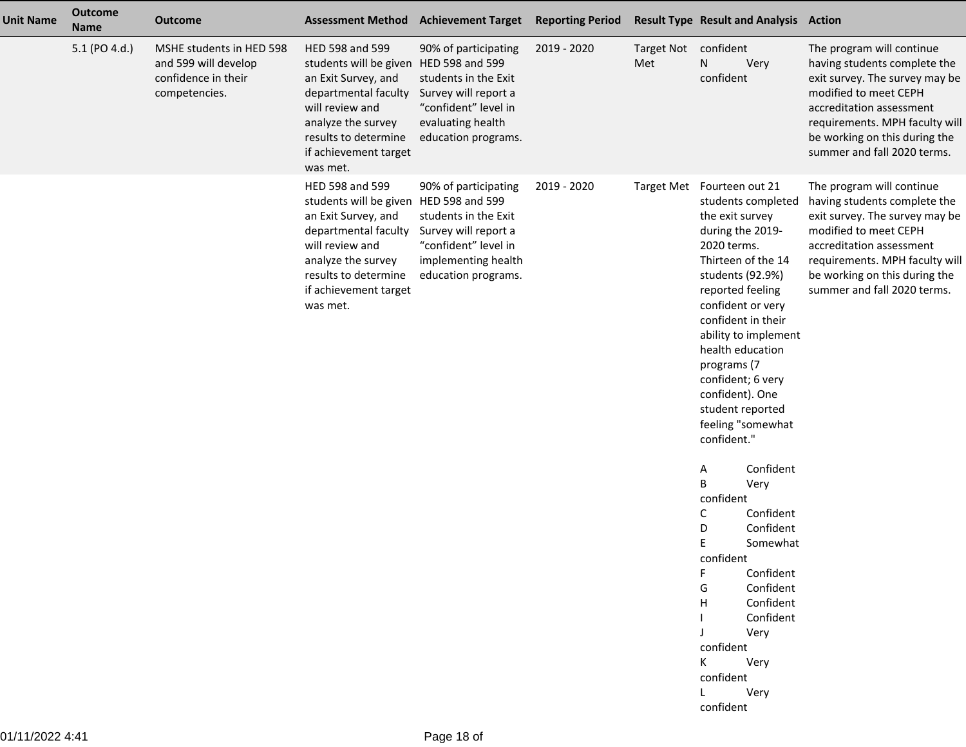| <b>Unit Name</b> | <b>Outcome</b><br><b>Name</b> | <b>Outcome</b>                                                                           | <b>Assessment Method</b>                                                                                                                                                                                       | <b>Achievement Target</b>                                                                                                                  | <b>Reporting Period</b> |                             | <b>Result Type Result and Analysis Action</b>                                                                                                                                                                                                                                                                                                                              |                                                                                                                                                                                                                                                    |
|------------------|-------------------------------|------------------------------------------------------------------------------------------|----------------------------------------------------------------------------------------------------------------------------------------------------------------------------------------------------------------|--------------------------------------------------------------------------------------------------------------------------------------------|-------------------------|-----------------------------|----------------------------------------------------------------------------------------------------------------------------------------------------------------------------------------------------------------------------------------------------------------------------------------------------------------------------------------------------------------------------|----------------------------------------------------------------------------------------------------------------------------------------------------------------------------------------------------------------------------------------------------|
|                  | 5.1 (PO 4.d.)                 | MSHE students in HED 598<br>and 599 will develop<br>confidence in their<br>competencies. | HED 598 and 599<br>students will be given HED 598 and 599<br>an Exit Survey, and<br>departmental faculty<br>will review and<br>analyze the survey<br>results to determine<br>if achievement target<br>was met. | 90% of participating<br>students in the Exit<br>Survey will report a<br>"confident" level in<br>evaluating health<br>education programs.   | 2019 - 2020             | Target Not confident<br>Met | N<br>Very<br>confident                                                                                                                                                                                                                                                                                                                                                     | The program will continue<br>having students complete the<br>exit survey. The survey may be<br>modified to meet CEPH<br>accreditation assessment<br>requirements. MPH faculty will<br>be working on this during the<br>summer and fall 2020 terms. |
|                  |                               |                                                                                          | HED 598 and 599<br>students will be given HED 598 and 599<br>an Exit Survey, and<br>departmental faculty<br>will review and<br>analyze the survey<br>results to determine<br>if achievement target<br>was met. | 90% of participating<br>students in the Exit<br>Survey will report a<br>"confident" level in<br>implementing health<br>education programs. | 2019 - 2020             |                             | Target Met Fourteen out 21<br>students completed<br>the exit survey<br>during the 2019-<br>2020 terms.<br>Thirteen of the 14<br>students (92.9%)<br>reported feeling<br>confident or very<br>confident in their<br>ability to implement<br>health education<br>programs (7<br>confident; 6 very<br>confident). One<br>student reported<br>feeling "somewhat<br>confident." | The program will continue<br>having students complete the<br>exit survey. The survey may be<br>modified to meet CEPH<br>accreditation assessment<br>requirements. MPH faculty will<br>be working on this during the<br>summer and fall 2020 terms. |
|                  |                               |                                                                                          |                                                                                                                                                                                                                |                                                                                                                                            |                         |                             | Confident<br>Α<br>B<br>Very<br>confident<br>Confident<br>C<br>Confident<br>D<br>Е<br>Somewhat<br>confident<br>Confident<br>F<br>Confident<br>G<br>Confident<br>н<br>Confident<br>Very<br>confident<br>K<br>Very<br>confident<br>Very<br>L<br>confident                                                                                                                     |                                                                                                                                                                                                                                                    |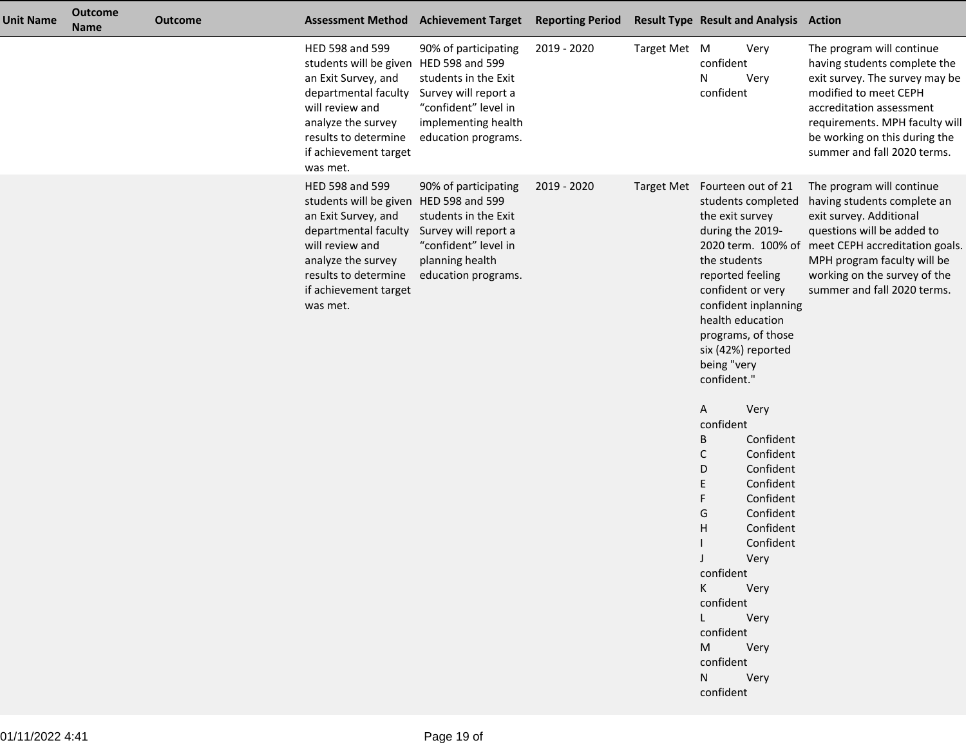| <b>Unit Name</b> | <b>Outcome</b><br><b>Name</b> | <b>Outcome</b> | <b>Assessment Method</b>                                                                                                                                                                                       | <b>Achievement Target Reporting Period</b>                                                                                                 |             |              | <b>Result Type Result and Analysis Action</b>                                                                                                                                                                                                                                                                                                                                                                                                                                                                                                                                                        |                                                                                                                                                                                                                                                    |
|------------------|-------------------------------|----------------|----------------------------------------------------------------------------------------------------------------------------------------------------------------------------------------------------------------|--------------------------------------------------------------------------------------------------------------------------------------------|-------------|--------------|------------------------------------------------------------------------------------------------------------------------------------------------------------------------------------------------------------------------------------------------------------------------------------------------------------------------------------------------------------------------------------------------------------------------------------------------------------------------------------------------------------------------------------------------------------------------------------------------------|----------------------------------------------------------------------------------------------------------------------------------------------------------------------------------------------------------------------------------------------------|
|                  |                               |                | HED 598 and 599<br>students will be given HED 598 and 599<br>an Exit Survey, and<br>departmental faculty<br>will review and<br>analyze the survey<br>results to determine<br>if achievement target<br>was met. | 90% of participating<br>students in the Exit<br>Survey will report a<br>"confident" level in<br>implementing health<br>education programs. | 2019 - 2020 | Target Met M | Very<br>confident<br>N<br>Very<br>confident                                                                                                                                                                                                                                                                                                                                                                                                                                                                                                                                                          | The program will continue<br>having students complete the<br>exit survey. The survey may be<br>modified to meet CEPH<br>accreditation assessment<br>requirements. MPH faculty will<br>be working on this during the<br>summer and fall 2020 terms. |
|                  |                               |                | HED 598 and 599<br>students will be given HED 598 and 599<br>an Exit Survey, and<br>departmental faculty<br>will review and<br>analyze the survey<br>results to determine<br>if achievement target<br>was met. | 90% of participating<br>students in the Exit<br>Survey will report a<br>"confident" level in<br>planning health<br>education programs.     | 2019 - 2020 |              | Target Met Fourteen out of 21<br>students completed<br>the exit survey<br>during the 2019-<br>2020 term. 100% of<br>the students<br>reported feeling<br>confident or very<br>confident inplanning<br>health education<br>programs, of those<br>six (42%) reported<br>being "very<br>confident."<br>A<br>Very<br>confident<br>B<br>Confident<br>C<br>Confident<br>Confident<br>D<br>Confident<br>E<br>Confident<br>F<br>Confident<br>G<br>Confident<br>H<br>Confident<br>$J$ and $J$<br>Very<br>confident<br>K Very<br>confident<br>L Very<br>confident<br>M Very<br>confident<br>N Very<br>confident | The program will continue<br>having students complete an<br>exit survey. Additional<br>questions will be added to<br>meet CEPH accreditation goals.<br>MPH program faculty will be<br>working on the survey of the<br>summer and fall 2020 terms.  |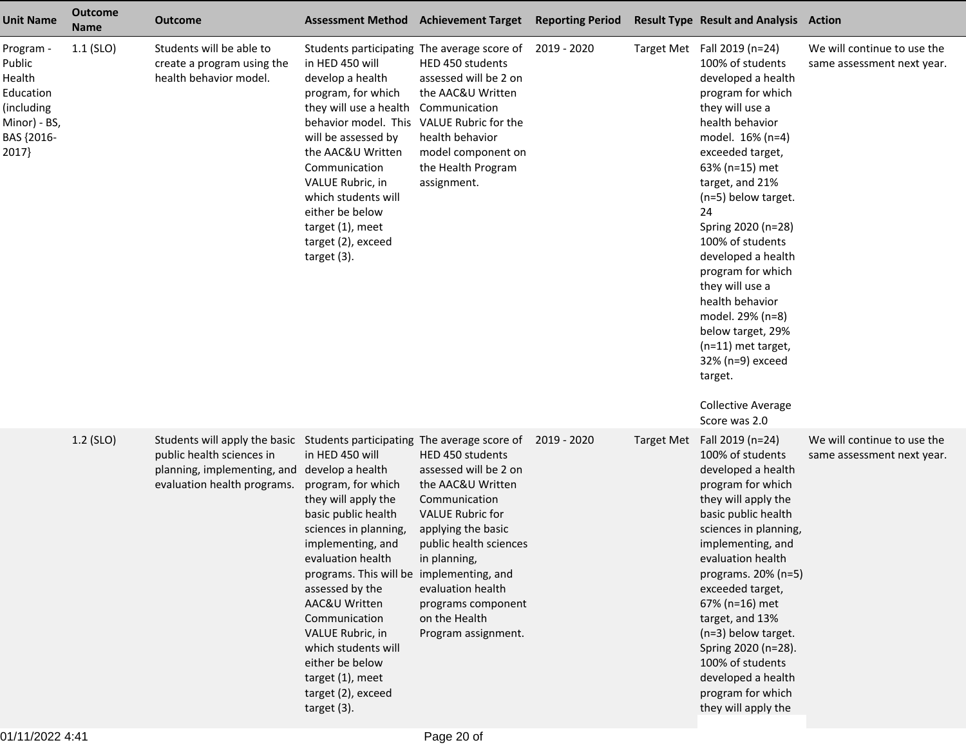| <b>Unit Name</b>                                                                                | <b>Outcome</b><br><b>Name</b> | <b>Outcome</b>                                                                                                                                                                   |                                                                                                                                                                                                                                                                                                                                                                                                    | Assessment Method Achievement Target Reporting Period                                                                                                                                                                                                         |  | <b>Result Type Result and Analysis Action</b>                                                                                                                                                                                                                                                                                                                                                                                                                                                                     |                                                           |
|-------------------------------------------------------------------------------------------------|-------------------------------|----------------------------------------------------------------------------------------------------------------------------------------------------------------------------------|----------------------------------------------------------------------------------------------------------------------------------------------------------------------------------------------------------------------------------------------------------------------------------------------------------------------------------------------------------------------------------------------------|---------------------------------------------------------------------------------------------------------------------------------------------------------------------------------------------------------------------------------------------------------------|--|-------------------------------------------------------------------------------------------------------------------------------------------------------------------------------------------------------------------------------------------------------------------------------------------------------------------------------------------------------------------------------------------------------------------------------------------------------------------------------------------------------------------|-----------------------------------------------------------|
| Program -<br>Public<br>Health<br>Education<br>(including<br>Minor) - BS,<br>BAS {2016-<br>2017} | 1.1 (SLO)                     | Students will be able to<br>create a program using the<br>health behavior model.                                                                                                 | in HED 450 will<br>develop a health<br>program, for which<br>they will use a health<br>behavior model. This VALUE Rubric for the<br>will be assessed by<br>the AAC&U Written<br>Communication<br>VALUE Rubric, in<br>which students will<br>either be below<br>target (1), meet<br>target (2), exceed<br>target (3).                                                                               | Students participating The average score of 2019 - 2020<br>HED 450 students<br>assessed will be 2 on<br>the AAC&U Written<br>Communication<br>health behavior<br>model component on<br>the Health Program<br>assignment.                                      |  | Target Met Fall 2019 (n=24)<br>100% of students<br>developed a health<br>program for which<br>they will use a<br>health behavior<br>model. 16% (n=4)<br>exceeded target,<br>63% (n=15) met<br>target, and 21%<br>(n=5) below target.<br>24<br>Spring 2020 (n=28)<br>100% of students<br>developed a health<br>program for which<br>they will use a<br>health behavior<br>model. 29% (n=8)<br>below target, 29%<br>(n=11) met target,<br>32% (n=9) exceed<br>target.<br><b>Collective Average</b><br>Score was 2.0 | We will continue to use the<br>same assessment next year. |
|                                                                                                 | 1.2 (SLO)                     | Students will apply the basic Students participating The average score of 2019 - 2020<br>public health sciences in<br>planning, implementing, and<br>evaluation health programs. | in HED 450 will<br>develop a health<br>program, for which<br>they will apply the<br>basic public health<br>sciences in planning,<br>implementing, and<br>evaluation health<br>programs. This will be implementing, and<br>assessed by the<br>AAC&U Written<br>Communication<br>VALUE Rubric, in<br>which students will<br>either be below<br>target (1), meet<br>target (2), exceed<br>target (3). | HED 450 students<br>assessed will be 2 on<br>the AAC&U Written<br>Communication<br><b>VALUE Rubric for</b><br>applying the basic<br>public health sciences<br>in planning,<br>evaluation health<br>programs component<br>on the Health<br>Program assignment. |  | Target Met Fall 2019 (n=24)<br>100% of students<br>developed a health<br>program for which<br>they will apply the<br>basic public health<br>sciences in planning,<br>implementing, and<br>evaluation health<br>programs. 20% (n=5)<br>exceeded target,<br>67% (n=16) met<br>target, and 13%<br>(n=3) below target.<br>Spring 2020 (n=28).<br>100% of students<br>developed a health<br>program for which<br>they will apply the                                                                                   | We will continue to use the<br>same assessment next year. |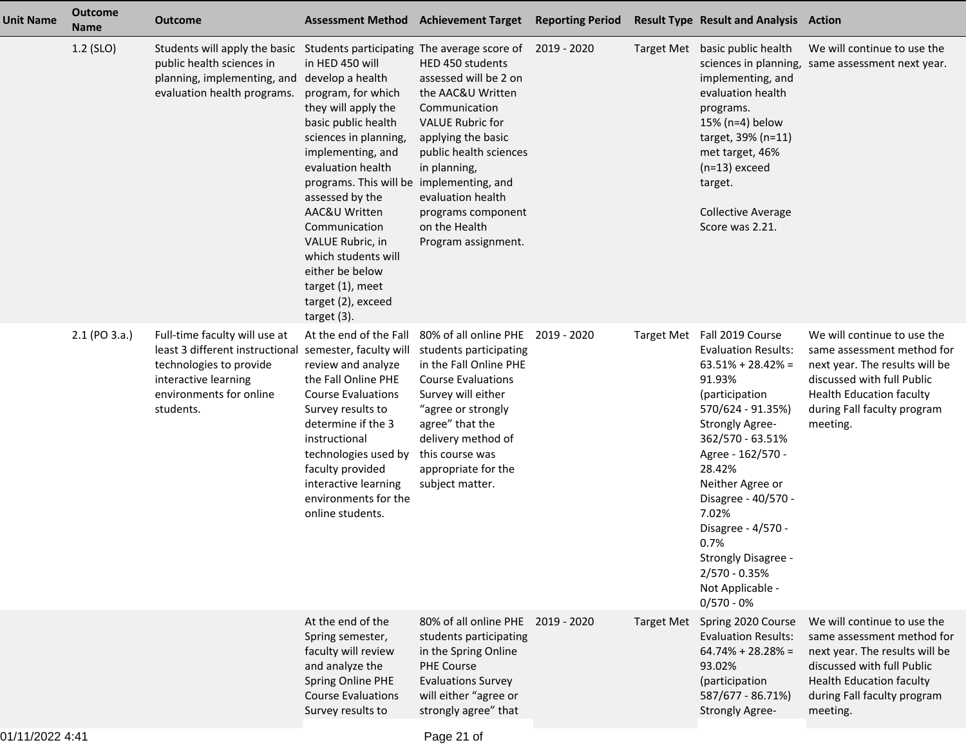| <b>Unit Name</b> | <b>Outcome</b><br><b>Name</b> | <b>Outcome</b>                                                                                                                                                                   |                                                                                                                                                                                                                                                                                                                                                                                                       | Assessment Method Achievement Target Reporting Period                                                                                                                                                                                                                |                   | <b>Result Type Result and Analysis Action</b>                                                                                                                                                                                                                                                                                                                                  |                                                                                                                                                                                                         |
|------------------|-------------------------------|----------------------------------------------------------------------------------------------------------------------------------------------------------------------------------|-------------------------------------------------------------------------------------------------------------------------------------------------------------------------------------------------------------------------------------------------------------------------------------------------------------------------------------------------------------------------------------------------------|----------------------------------------------------------------------------------------------------------------------------------------------------------------------------------------------------------------------------------------------------------------------|-------------------|--------------------------------------------------------------------------------------------------------------------------------------------------------------------------------------------------------------------------------------------------------------------------------------------------------------------------------------------------------------------------------|---------------------------------------------------------------------------------------------------------------------------------------------------------------------------------------------------------|
|                  | 1.2 (SLO)                     | Students will apply the basic Students participating The average score of 2019 - 2020<br>public health sciences in<br>planning, implementing, and<br>evaluation health programs. | in HED 450 will<br>develop a health<br>program, for which<br>they will apply the<br>basic public health<br>sciences in planning,<br>implementing, and<br>evaluation health<br>programs. This will be implementing, and<br>assessed by the<br>AAC&U Written<br>Communication<br>VALUE Rubric, in<br>which students will<br>either be below<br>target (1), meet<br>target (2), exceed<br>target $(3)$ . | HED 450 students<br>assessed will be 2 on<br>the AAC&U Written<br>Communication<br><b>VALUE Rubric for</b><br>applying the basic<br>public health sciences<br>in planning,<br>evaluation health<br>programs component<br>on the Health<br>Program assignment.        |                   | Target Met basic public health<br>implementing, and<br>evaluation health<br>programs.<br>15% (n=4) below<br>target, 39% (n=11)<br>met target, 46%<br>$(n=13)$ exceed<br>target.<br><b>Collective Average</b><br>Score was 2.21.                                                                                                                                                | We will continue to use the<br>sciences in planning, same assessment next year.                                                                                                                         |
|                  | 2.1 (PO 3.a.)                 | Full-time faculty will use at<br>least 3 different instructional<br>technologies to provide<br>interactive learning<br>environments for online<br>students.                      | At the end of the Fall<br>semester, faculty will<br>review and analyze<br>the Fall Online PHE<br><b>Course Evaluations</b><br>Survey results to<br>determine if the 3<br>instructional<br>technologies used by<br>faculty provided<br>interactive learning<br>environments for the<br>online students.                                                                                                | 80% of all online PHE 2019 - 2020<br>students participating<br>in the Fall Online PHE<br><b>Course Evaluations</b><br>Survey will either<br>"agree or strongly<br>agree" that the<br>delivery method of<br>this course was<br>appropriate for the<br>subject matter. |                   | Target Met Fall 2019 Course<br><b>Evaluation Results:</b><br>$63.51\% + 28.42\% =$<br>91.93%<br>(participation<br>570/624 - 91.35%)<br><b>Strongly Agree-</b><br>362/570 - 63.51%<br>Agree - 162/570 -<br>28.42%<br>Neither Agree or<br>Disagree - 40/570 -<br>7.02%<br>Disagree - 4/570 -<br>0.7%<br>Strongly Disagree -<br>2/570 - 0.35%<br>Not Applicable -<br>$0/570 - 0%$ | We will continue to use the<br>same assessment method for<br>next year. The results will be<br>discussed with full Public<br><b>Health Education faculty</b><br>during Fall faculty program<br>meeting. |
|                  |                               |                                                                                                                                                                                  | At the end of the<br>Spring semester,<br>faculty will review<br>and analyze the<br>Spring Online PHE<br><b>Course Evaluations</b><br>Survey results to                                                                                                                                                                                                                                                | 80% of all online PHE 2019 - 2020<br>students participating<br>in the Spring Online<br><b>PHE Course</b><br><b>Evaluations Survey</b><br>will either "agree or<br>strongly agree" that                                                                               | <b>Target Met</b> | Spring 2020 Course<br><b>Evaluation Results:</b><br>$64.74\% + 28.28\% =$<br>93.02%<br>(participation<br>587/677 - 86.71%)<br><b>Strongly Agree-</b>                                                                                                                                                                                                                           | We will continue to use the<br>same assessment method for<br>next year. The results will be<br>discussed with full Public<br><b>Health Education faculty</b><br>during Fall faculty program<br>meeting. |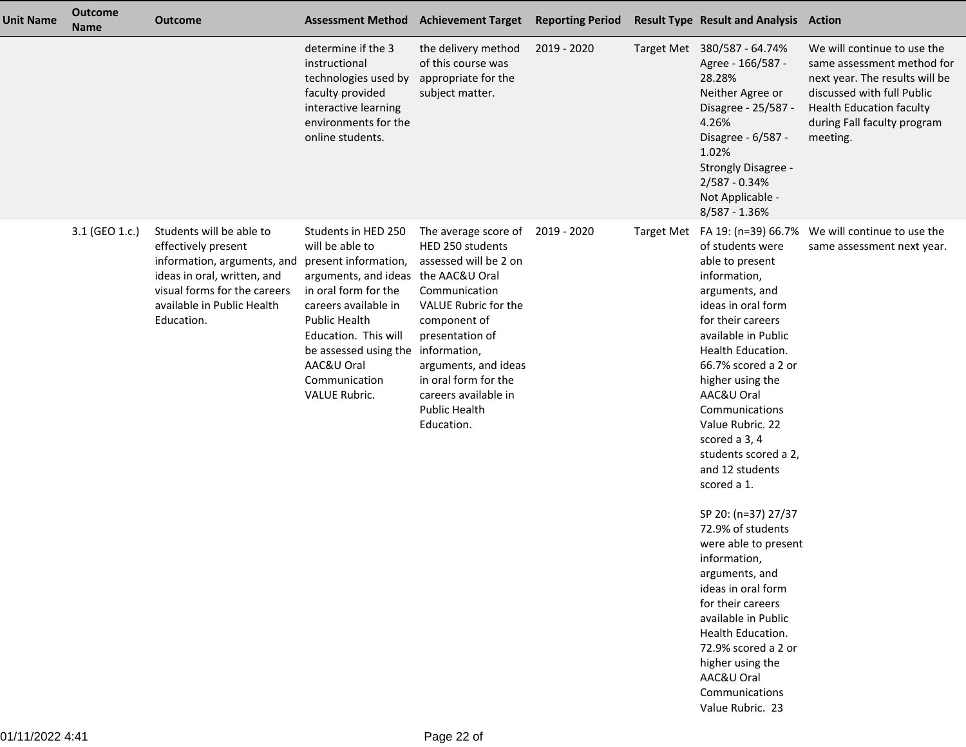| <b>Unit Name</b> | <b>Outcome</b><br><b>Name</b> | <b>Outcome</b>                                                                                                                                                                            |                                                                                                                                                                                                                                                                       | Assessment Method Achievement Target Reporting Period                                                                                                                                                                                                                              |             |                   | <b>Result Type Result and Analysis Action</b>                                                                                                                                                                                                                                                                                                                                                                                                                                                                                                                                                                                      |                                                                                                                                                                                                         |
|------------------|-------------------------------|-------------------------------------------------------------------------------------------------------------------------------------------------------------------------------------------|-----------------------------------------------------------------------------------------------------------------------------------------------------------------------------------------------------------------------------------------------------------------------|------------------------------------------------------------------------------------------------------------------------------------------------------------------------------------------------------------------------------------------------------------------------------------|-------------|-------------------|------------------------------------------------------------------------------------------------------------------------------------------------------------------------------------------------------------------------------------------------------------------------------------------------------------------------------------------------------------------------------------------------------------------------------------------------------------------------------------------------------------------------------------------------------------------------------------------------------------------------------------|---------------------------------------------------------------------------------------------------------------------------------------------------------------------------------------------------------|
|                  |                               |                                                                                                                                                                                           | determine if the 3<br>instructional<br>technologies used by<br>faculty provided<br>interactive learning<br>environments for the<br>online students.                                                                                                                   | the delivery method<br>of this course was<br>appropriate for the<br>subject matter.                                                                                                                                                                                                | 2019 - 2020 |                   | Target Met 380/587 - 64.74%<br>Agree - 166/587 -<br>28.28%<br>Neither Agree or<br>Disagree - 25/587 -<br>4.26%<br>Disagree - 6/587 -<br>1.02%<br>Strongly Disagree -<br>2/587 - 0.34%<br>Not Applicable -<br>8/587 - 1.36%                                                                                                                                                                                                                                                                                                                                                                                                         | We will continue to use the<br>same assessment method for<br>next year. The results will be<br>discussed with full Public<br><b>Health Education faculty</b><br>during Fall faculty program<br>meeting. |
|                  | 3.1 (GEO 1.c.)                | Students will be able to<br>effectively present<br>information, arguments, and<br>ideas in oral, written, and<br>visual forms for the careers<br>available in Public Health<br>Education. | Students in HED 250<br>will be able to<br>present information,<br>arguments, and ideas<br>in oral form for the<br>careers available in<br>Public Health<br>Education. This will<br>be assessed using the information,<br>AAC&U Oral<br>Communication<br>VALUE Rubric. | The average score of 2019 - 2020<br>HED 250 students<br>assessed will be 2 on<br>the AAC&U Oral<br>Communication<br>VALUE Rubric for the<br>component of<br>presentation of<br>arguments, and ideas<br>in oral form for the<br>careers available in<br>Public Health<br>Education. |             | <b>Target Met</b> | of students were<br>able to present<br>information,<br>arguments, and<br>ideas in oral form<br>for their careers<br>available in Public<br>Health Education.<br>66.7% scored a 2 or<br>higher using the<br>AAC&U Oral<br>Communications<br>Value Rubric. 22<br>scored a 3, 4<br>students scored a 2,<br>and 12 students<br>scored a 1.<br>SP 20: (n=37) 27/37<br>72.9% of students<br>were able to present<br>information,<br>arguments, and<br>ideas in oral form<br>for their careers<br>available in Public<br>Health Education.<br>72.9% scored a 2 or<br>higher using the<br>AAC&U Oral<br>Communications<br>Value Rubric. 23 | FA 19: (n=39) 66.7% We will continue to use the<br>same assessment next year.                                                                                                                           |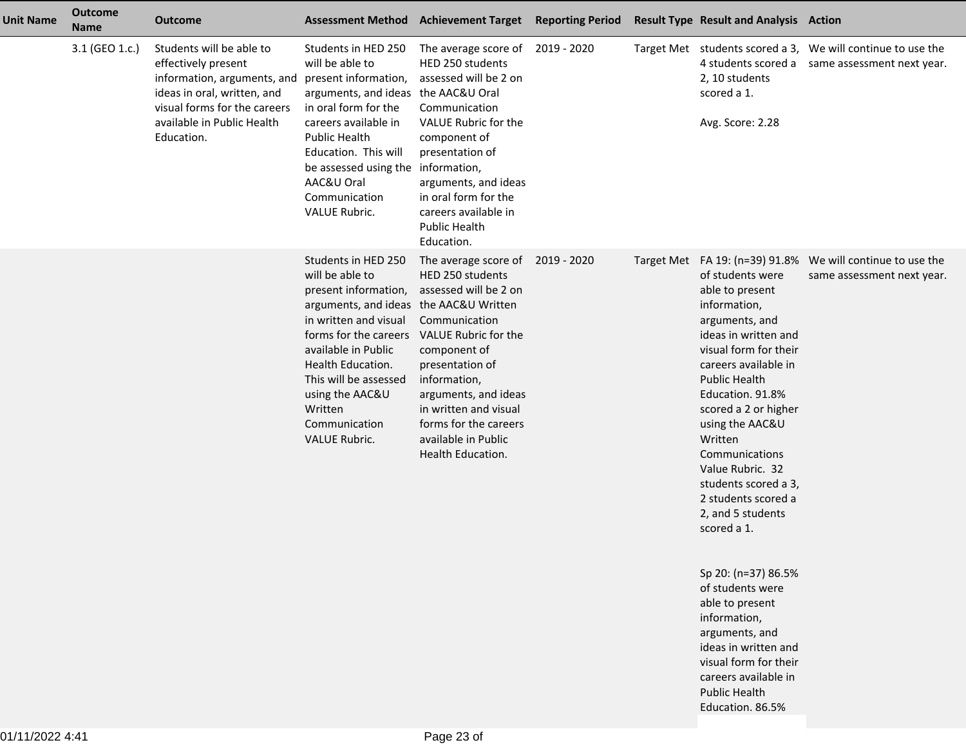| <b>Unit Name</b> | <b>Outcome</b><br><b>Name</b> | <b>Outcome</b>                                                                                                                                                                            | <b>Assessment Method</b>                                                                                                                                                                                                                                                                               | <b>Achievement Target Reporting Period</b>                                                                                                                                                                                                                                                      |  | <b>Result Type Result and Analysis Action</b>                                                                                                                                                                                                                                                                                                                             |                                                                                                               |
|------------------|-------------------------------|-------------------------------------------------------------------------------------------------------------------------------------------------------------------------------------------|--------------------------------------------------------------------------------------------------------------------------------------------------------------------------------------------------------------------------------------------------------------------------------------------------------|-------------------------------------------------------------------------------------------------------------------------------------------------------------------------------------------------------------------------------------------------------------------------------------------------|--|---------------------------------------------------------------------------------------------------------------------------------------------------------------------------------------------------------------------------------------------------------------------------------------------------------------------------------------------------------------------------|---------------------------------------------------------------------------------------------------------------|
|                  | 3.1 (GEO 1.c.)                | Students will be able to<br>effectively present<br>information, arguments, and<br>ideas in oral, written, and<br>visual forms for the careers<br>available in Public Health<br>Education. | Students in HED 250<br>will be able to<br>present information,<br>arguments, and ideas<br>in oral form for the<br>careers available in<br><b>Public Health</b><br>Education. This will<br>be assessed using the information,<br>AAC&U Oral<br>Communication<br><b>VALUE Rubric.</b>                    | The average score of 2019 - 2020<br>HED 250 students<br>assessed will be 2 on<br>the AAC&U Oral<br>Communication<br>VALUE Rubric for the<br>component of<br>presentation of<br>arguments, and ideas<br>in oral form for the<br>careers available in<br>Public Health<br>Education.              |  | 2, 10 students<br>scored a 1.<br>Avg. Score: 2.28                                                                                                                                                                                                                                                                                                                         | Target Met students scored a 3, We will continue to use the<br>4 students scored a same assessment next year. |
|                  |                               |                                                                                                                                                                                           | Students in HED 250<br>will be able to<br>present information,<br>arguments, and ideas the AAC&U Written<br>in written and visual<br>forms for the careers<br>available in Public<br>Health Education.<br>This will be assessed<br>using the AAC&U<br>Written<br>Communication<br><b>VALUE Rubric.</b> | The average score of 2019 - 2020<br>HED 250 students<br>assessed will be 2 on<br>Communication<br>VALUE Rubric for the<br>component of<br>presentation of<br>information,<br>arguments, and ideas<br>in written and visual<br>forms for the careers<br>available in Public<br>Health Education. |  | of students were<br>able to present<br>information,<br>arguments, and<br>ideas in written and<br>visual form for their<br>careers available in<br><b>Public Health</b><br>Education. 91.8%<br>scored a 2 or higher<br>using the AAC&U<br>Written<br>Communications<br>Value Rubric. 32<br>students scored a 3,<br>2 students scored a<br>2, and 5 students<br>scored a 1. | Target Met FA 19: (n=39) 91.8% We will continue to use the<br>same assessment next year.                      |
|                  |                               |                                                                                                                                                                                           |                                                                                                                                                                                                                                                                                                        |                                                                                                                                                                                                                                                                                                 |  | Sp 20: (n=37) 86.5%<br>of students were<br>able to present<br>information,<br>arguments, and<br>ideas in written and<br>visual form for their<br>careers available in<br>Public Health                                                                                                                                                                                    |                                                                                                               |

Education. 86.5%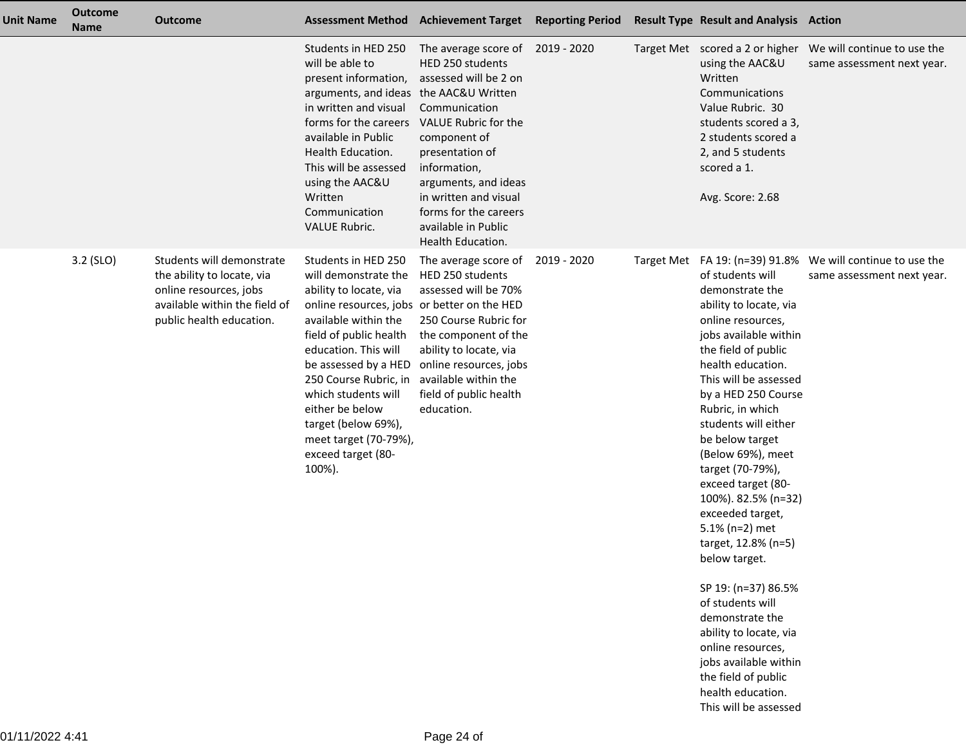| <b>Unit Name</b> | <b>Outcome</b><br><b>Name</b> | <b>Outcome</b>                                                                                                                                 |                                                                                                                                                                                                                                                                                                                                                                           | Assessment Method Achievement Target Reporting Period                                                                                                                                                                                                                                                                |  | <b>Result Type Result and Analysis Action</b>                                                                                                                                                                                                                                                                                                                                                                                                                                                                                                                                                                                                         |                                                                                          |
|------------------|-------------------------------|------------------------------------------------------------------------------------------------------------------------------------------------|---------------------------------------------------------------------------------------------------------------------------------------------------------------------------------------------------------------------------------------------------------------------------------------------------------------------------------------------------------------------------|----------------------------------------------------------------------------------------------------------------------------------------------------------------------------------------------------------------------------------------------------------------------------------------------------------------------|--|-------------------------------------------------------------------------------------------------------------------------------------------------------------------------------------------------------------------------------------------------------------------------------------------------------------------------------------------------------------------------------------------------------------------------------------------------------------------------------------------------------------------------------------------------------------------------------------------------------------------------------------------------------|------------------------------------------------------------------------------------------|
|                  |                               |                                                                                                                                                | Students in HED 250<br>will be able to<br>present information,<br>arguments, and ideas<br>in written and visual<br>forms for the careers<br>available in Public<br>Health Education.<br>This will be assessed<br>using the AAC&U<br>Written<br>Communication<br>VALUE Rubric.                                                                                             | The average score of 2019 - 2020<br>HED 250 students<br>assessed will be 2 on<br>the AAC&U Written<br>Communication<br>VALUE Rubric for the<br>component of<br>presentation of<br>information,<br>arguments, and ideas<br>in written and visual<br>forms for the careers<br>available in Public<br>Health Education. |  | Target Met scored a 2 or higher<br>using the AAC&U<br>Written<br>Communications<br>Value Rubric. 30<br>students scored a 3,<br>2 students scored a<br>2, and 5 students<br>scored a 1.<br>Avg. Score: 2.68                                                                                                                                                                                                                                                                                                                                                                                                                                            | We will continue to use the<br>same assessment next year.                                |
|                  | 3.2 (SLO)                     | Students will demonstrate<br>the ability to locate, via<br>online resources, jobs<br>available within the field of<br>public health education. | Students in HED 250<br>will demonstrate the<br>ability to locate, via<br>online resources, jobs or better on the HED<br>available within the<br>field of public health<br>education. This will<br>be assessed by a HED<br>250 Course Rubric, in<br>which students will<br>either be below<br>target (below 69%),<br>meet target (70-79%),<br>exceed target (80-<br>100%). | The average score of 2019 - 2020<br>HED 250 students<br>assessed will be 70%<br>250 Course Rubric for<br>the component of the<br>ability to locate, via<br>online resources, jobs<br>available within the<br>field of public health<br>education.                                                                    |  | of students will<br>demonstrate the<br>ability to locate, via<br>online resources,<br>jobs available within<br>the field of public<br>health education.<br>This will be assessed<br>by a HED 250 Course<br>Rubric, in which<br>students will either<br>be below target<br>(Below 69%), meet<br>target (70-79%),<br>exceed target (80-<br>100%). 82.5% (n=32)<br>exceeded target,<br>5.1% (n=2) met<br>target, 12.8% (n=5)<br>below target.<br>SP 19: (n=37) 86.5%<br>of students will<br>demonstrate the<br>ability to locate, via<br>online resources,<br>jobs available within<br>the field of public<br>health education.<br>This will be assessed | Target Met FA 19: (n=39) 91.8% We will continue to use the<br>same assessment next year. |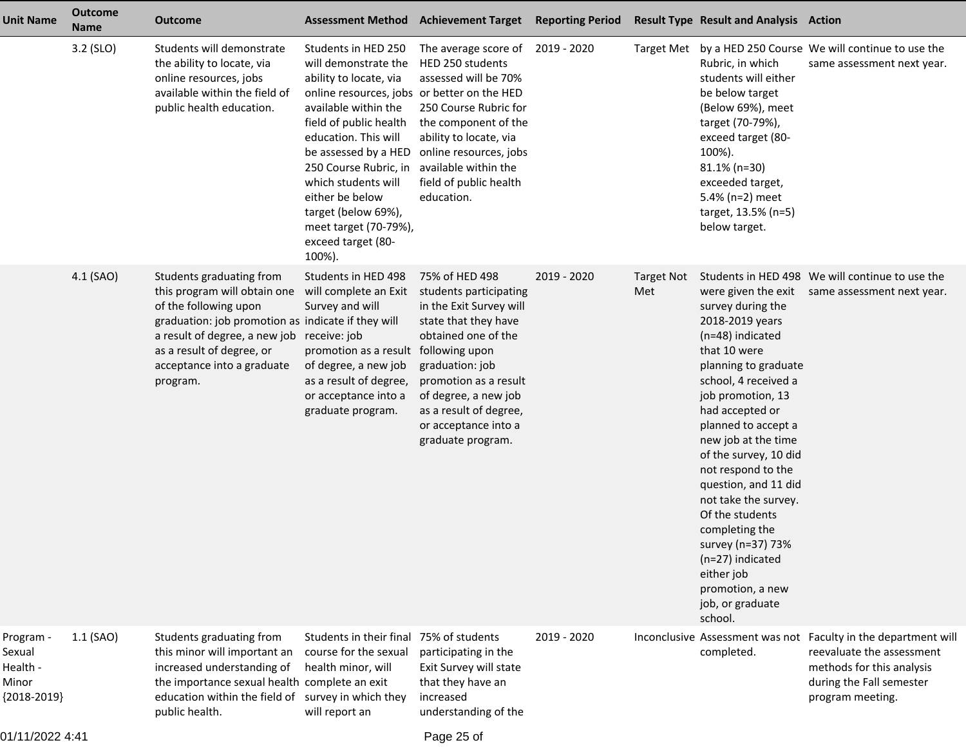| <b>Unit Name</b>                                          | <b>Outcome</b><br><b>Name</b> | <b>Outcome</b>                                                                                                                                                                                                                                  | <b>Assessment Method</b>                                                                                                                                                                                                                                                                                                                                                  | <b>Achievement Target</b>                                                                                                                                                                                                                                                       | <b>Reporting Period</b> |                          | <b>Result Type Result and Analysis Action</b>                                                                                                                                                                                                                                                                                                                                                                                                                |                                                                                                                                                                          |
|-----------------------------------------------------------|-------------------------------|-------------------------------------------------------------------------------------------------------------------------------------------------------------------------------------------------------------------------------------------------|---------------------------------------------------------------------------------------------------------------------------------------------------------------------------------------------------------------------------------------------------------------------------------------------------------------------------------------------------------------------------|---------------------------------------------------------------------------------------------------------------------------------------------------------------------------------------------------------------------------------------------------------------------------------|-------------------------|--------------------------|--------------------------------------------------------------------------------------------------------------------------------------------------------------------------------------------------------------------------------------------------------------------------------------------------------------------------------------------------------------------------------------------------------------------------------------------------------------|--------------------------------------------------------------------------------------------------------------------------------------------------------------------------|
|                                                           | 3.2 (SLO)                     | Students will demonstrate<br>the ability to locate, via<br>online resources, jobs<br>available within the field of<br>public health education.                                                                                                  | Students in HED 250<br>will demonstrate the<br>ability to locate, via<br>online resources, jobs or better on the HED<br>available within the<br>field of public health<br>education. This will<br>be assessed by a HED<br>250 Course Rubric, in<br>which students will<br>either be below<br>target (below 69%),<br>meet target (70-79%),<br>exceed target (80-<br>100%). | The average score of 2019 - 2020<br>HED 250 students<br>assessed will be 70%<br>250 Course Rubric for<br>the component of the<br>ability to locate, via<br>online resources, jobs<br>available within the<br>field of public health<br>education.                               |                         |                          | Rubric, in which<br>students will either<br>be below target<br>(Below 69%), meet<br>target (70-79%),<br>exceed target (80-<br>100%).<br>81.1% (n=30)<br>exceeded target,<br>5.4% (n=2) meet<br>target, 13.5% (n=5)<br>below target.                                                                                                                                                                                                                          | Target Met by a HED 250 Course We will continue to use the<br>same assessment next year.                                                                                 |
|                                                           | 4.1 (SAO)                     | Students graduating from<br>this program will obtain one<br>of the following upon<br>graduation: job promotion as indicate if they will<br>a result of degree, a new job<br>as a result of degree, or<br>acceptance into a graduate<br>program. | Students in HED 498<br>will complete an Exit<br>Survey and will<br>receive: job<br>promotion as a result<br>of degree, a new job<br>as a result of degree,<br>or acceptance into a<br>graduate program.                                                                                                                                                                   | 75% of HED 498<br>students participating<br>in the Exit Survey will<br>state that they have<br>obtained one of the<br>following upon<br>graduation: job<br>promotion as a result<br>of degree, a new job<br>as a result of degree,<br>or acceptance into a<br>graduate program. | 2019 - 2020             | <b>Target Not</b><br>Met | survey during the<br>2018-2019 years<br>(n=48) indicated<br>that 10 were<br>planning to graduate<br>school, 4 received a<br>job promotion, 13<br>had accepted or<br>planned to accept a<br>new job at the time<br>of the survey, 10 did<br>not respond to the<br>question, and 11 did<br>not take the survey.<br>Of the students<br>completing the<br>survey (n=37) 73%<br>(n=27) indicated<br>either job<br>promotion, a new<br>job, or graduate<br>school. | Students in HED 498 We will continue to use the<br>were given the exit same assessment next year.                                                                        |
| Program -<br>Sexual<br>Health -<br>Minor<br>${2018-2019}$ | 1.1 (SAO)                     | Students graduating from<br>this minor will important an<br>increased understanding of<br>the importance sexual health complete an exit<br>education within the field of<br>public health.                                                      | Students in their final<br>course for the sexual<br>health minor, will<br>survey in which they<br>will report an                                                                                                                                                                                                                                                          | 75% of students<br>participating in the<br>Exit Survey will state<br>that they have an<br>increased<br>understanding of the                                                                                                                                                     | 2019 - 2020             |                          | completed.                                                                                                                                                                                                                                                                                                                                                                                                                                                   | Inconclusive Assessment was not Faculty in the department will<br>reevaluate the assessment<br>methods for this analysis<br>during the Fall semester<br>program meeting. |

01/11/2022 4:41

Page 25 of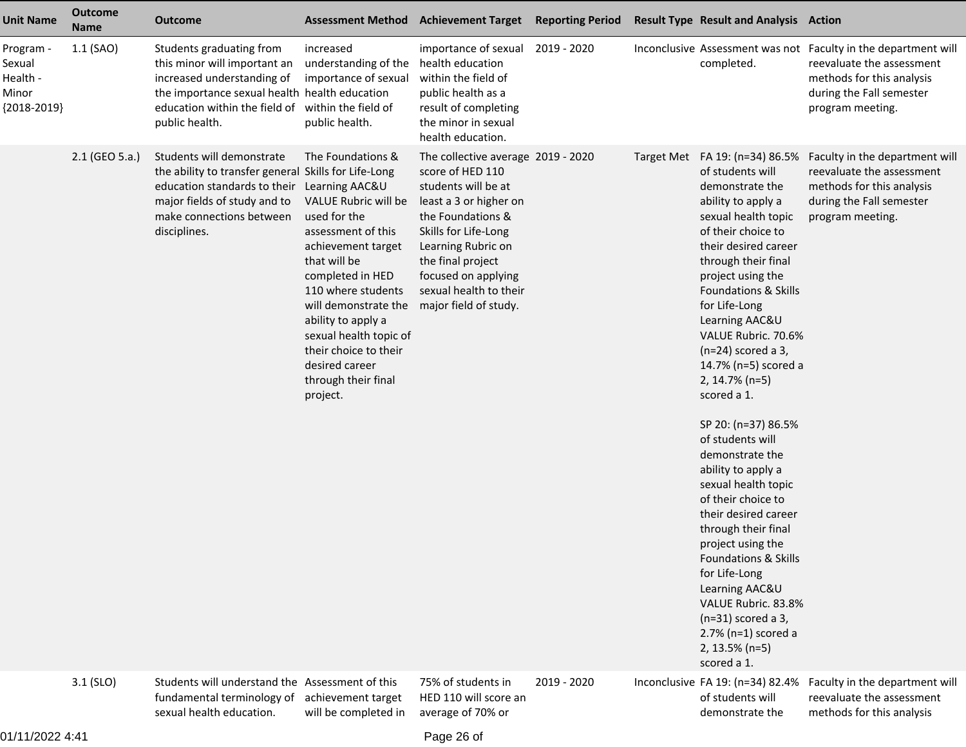| <b>Unit Name</b>                                          | <b>Outcome</b><br><b>Name</b> | <b>Outcome</b>                                                                                                                                                                                                 |                                                                                                                                                                                                                                                                                                                                         | <b>Assessment Method Achievement Target</b>                                                                                                                                                                                                                               | <b>Reporting Period</b> |                   | <b>Result Type Result and Analysis Action</b>                                                                                                                                                                                                                                                                                                                                                                                                                                                                                                                                                                                                                                                                                                 |                                                                                                                                                                          |
|-----------------------------------------------------------|-------------------------------|----------------------------------------------------------------------------------------------------------------------------------------------------------------------------------------------------------------|-----------------------------------------------------------------------------------------------------------------------------------------------------------------------------------------------------------------------------------------------------------------------------------------------------------------------------------------|---------------------------------------------------------------------------------------------------------------------------------------------------------------------------------------------------------------------------------------------------------------------------|-------------------------|-------------------|-----------------------------------------------------------------------------------------------------------------------------------------------------------------------------------------------------------------------------------------------------------------------------------------------------------------------------------------------------------------------------------------------------------------------------------------------------------------------------------------------------------------------------------------------------------------------------------------------------------------------------------------------------------------------------------------------------------------------------------------------|--------------------------------------------------------------------------------------------------------------------------------------------------------------------------|
| Program -<br>Sexual<br>Health -<br>Minor<br>${2018-2019}$ | 1.1 (SAO)                     | Students graduating from<br>this minor will important an<br>increased understanding of<br>the importance sexual health health education<br>education within the field of within the field of<br>public health. | increased<br>understanding of the<br>importance of sexual<br>public health.                                                                                                                                                                                                                                                             | importance of sexual<br>health education<br>within the field of<br>public health as a<br>result of completing<br>the minor in sexual<br>health education.                                                                                                                 | 2019 - 2020             |                   | completed.                                                                                                                                                                                                                                                                                                                                                                                                                                                                                                                                                                                                                                                                                                                                    | Inconclusive Assessment was not Faculty in the department will<br>reevaluate the assessment<br>methods for this analysis<br>during the Fall semester<br>program meeting. |
|                                                           | 2.1 (GEO 5.a.)                | Students will demonstrate<br>the ability to transfer general Skills for Life-Long<br>education standards to their<br>major fields of study and to<br>make connections between<br>disciplines.                  | The Foundations &<br>Learning AAC&U<br>VALUE Rubric will be<br>used for the<br>assessment of this<br>achievement target<br>that will be<br>completed in HED<br>110 where students<br>will demonstrate the<br>ability to apply a<br>sexual health topic of<br>their choice to their<br>desired career<br>through their final<br>project. | The collective average 2019 - 2020<br>score of HED 110<br>students will be at<br>least a 3 or higher on<br>the Foundations &<br>Skills for Life-Long<br>Learning Rubric on<br>the final project<br>focused on applying<br>sexual health to their<br>major field of study. |                         | <b>Target Met</b> | FA 19: (n=34) 86.5%<br>of students will<br>demonstrate the<br>ability to apply a<br>sexual health topic<br>of their choice to<br>their desired career<br>through their final<br>project using the<br>Foundations & Skills<br>for Life-Long<br>Learning AAC&U<br>VALUE Rubric. 70.6%<br>$(n=24)$ scored a 3,<br>14.7% (n=5) scored a<br>2, 14.7% (n=5)<br>scored a 1.<br>SP 20: (n=37) 86.5%<br>of students will<br>demonstrate the<br>ability to apply a<br>sexual health topic<br>of their choice to<br>their desired career<br>through their final<br>project using the<br>Foundations & Skills<br>for Life-Long<br>Learning AAC&U<br>VALUE Rubric. 83.8%<br>$(n=31)$ scored a 3,<br>$2.7%$ (n=1) scored a<br>2, 13.5% (n=5)<br>scored a 1. | Faculty in the department will<br>reevaluate the assessment<br>methods for this analysis<br>during the Fall semester<br>program meeting.                                 |
|                                                           | 3.1 (SLO)                     | Students will understand the Assessment of this<br>fundamental terminology of<br>sexual health education.                                                                                                      | achievement target<br>will be completed in                                                                                                                                                                                                                                                                                              | 75% of students in<br>HED 110 will score an<br>average of 70% or                                                                                                                                                                                                          | 2019 - 2020             |                   | Inconclusive FA 19: (n=34) 82.4%<br>of students will<br>demonstrate the                                                                                                                                                                                                                                                                                                                                                                                                                                                                                                                                                                                                                                                                       | Faculty in the department will<br>reevaluate the assessment<br>methods for this analysis                                                                                 |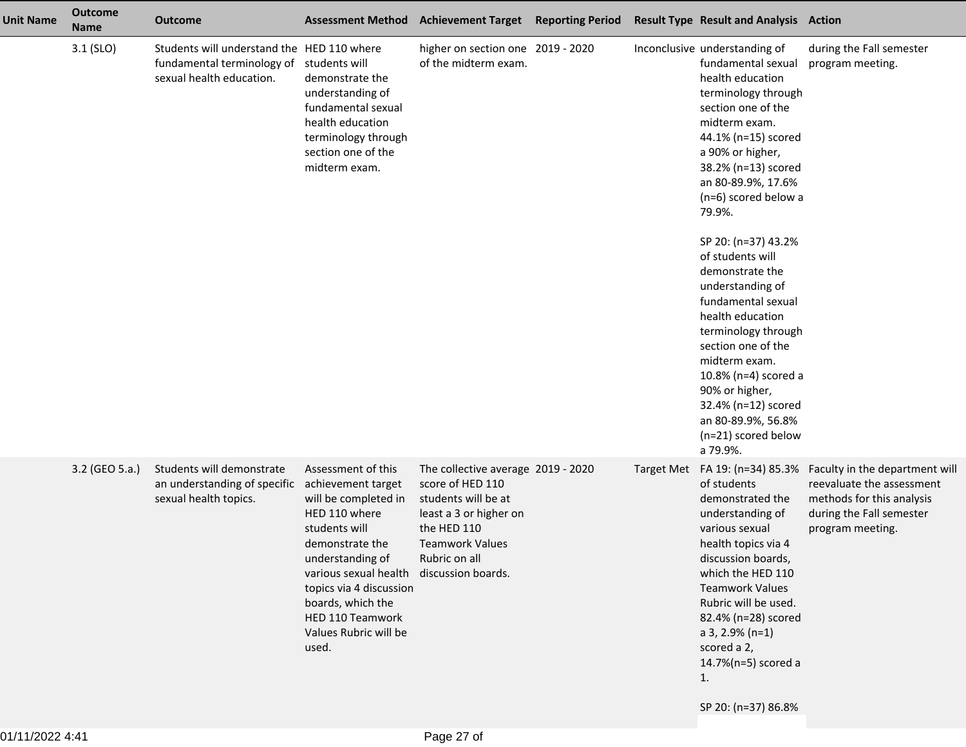| <b>Unit Name</b> | <b>Outcome</b><br><b>Name</b> | <b>Outcome</b>                                                                                       |                                                                                                                                                                                                                                                                          | Assessment Method Achievement Target Reporting Period Result Type Result and Analysis Action                                                                                            |  |                                                                                                                                                                                                                                                                                                                                                                                                                                                                                                                                                                                     |                                                                                                                                                                         |
|------------------|-------------------------------|------------------------------------------------------------------------------------------------------|--------------------------------------------------------------------------------------------------------------------------------------------------------------------------------------------------------------------------------------------------------------------------|-----------------------------------------------------------------------------------------------------------------------------------------------------------------------------------------|--|-------------------------------------------------------------------------------------------------------------------------------------------------------------------------------------------------------------------------------------------------------------------------------------------------------------------------------------------------------------------------------------------------------------------------------------------------------------------------------------------------------------------------------------------------------------------------------------|-------------------------------------------------------------------------------------------------------------------------------------------------------------------------|
|                  | $3.1$ (SLO)                   | Students will understand the HED 110 where<br>fundamental terminology of<br>sexual health education. | students will<br>demonstrate the<br>understanding of<br>fundamental sexual<br>health education<br>terminology through<br>section one of the<br>midterm exam.                                                                                                             | higher on section one 2019 - 2020<br>of the midterm exam.                                                                                                                               |  | Inconclusive understanding of<br>fundamental sexual<br>health education<br>terminology through<br>section one of the<br>midterm exam.<br>44.1% (n=15) scored<br>a 90% or higher,<br>38.2% (n=13) scored<br>an 80-89.9%, 17.6%<br>(n=6) scored below a<br>79.9%.<br>SP 20: (n=37) 43.2%<br>of students will<br>demonstrate the<br>understanding of<br>fundamental sexual<br>health education<br>terminology through<br>section one of the<br>midterm exam.<br>10.8% (n=4) scored a<br>90% or higher,<br>32.4% (n=12) scored<br>an 80-89.9%, 56.8%<br>(n=21) scored below<br>a 79.9%. | during the Fall semester<br>program meeting.                                                                                                                            |
|                  | 3.2 (GEO 5.a.)                | Students will demonstrate<br>an understanding of specific<br>sexual health topics.                   | Assessment of this<br>achievement target<br>will be completed in<br>HED 110 where<br>students will<br>demonstrate the<br>understanding of<br>various sexual health<br>topics via 4 discussion<br>boards, which the<br>HED 110 Teamwork<br>Values Rubric will be<br>used. | The collective average 2019 - 2020<br>score of HED 110<br>students will be at<br>least a 3 or higher on<br>the HED 110<br><b>Teamwork Values</b><br>Rubric on all<br>discussion boards. |  | of students<br>demonstrated the<br>understanding of<br>various sexual<br>health topics via 4<br>discussion boards,<br>which the HED 110<br><b>Teamwork Values</b><br>Rubric will be used.<br>82.4% (n=28) scored<br>$a$ 3, 2.9% (n=1)<br>scored a 2,<br>14.7%(n=5) scored a<br>1.                                                                                                                                                                                                                                                                                                   | Target Met FA 19: (n=34) 85.3% Faculty in the department will<br>reevaluate the assessment<br>methods for this analysis<br>during the Fall semester<br>program meeting. |
|                  |                               |                                                                                                      |                                                                                                                                                                                                                                                                          |                                                                                                                                                                                         |  | SP 20: (n=37) 86.8%                                                                                                                                                                                                                                                                                                                                                                                                                                                                                                                                                                 |                                                                                                                                                                         |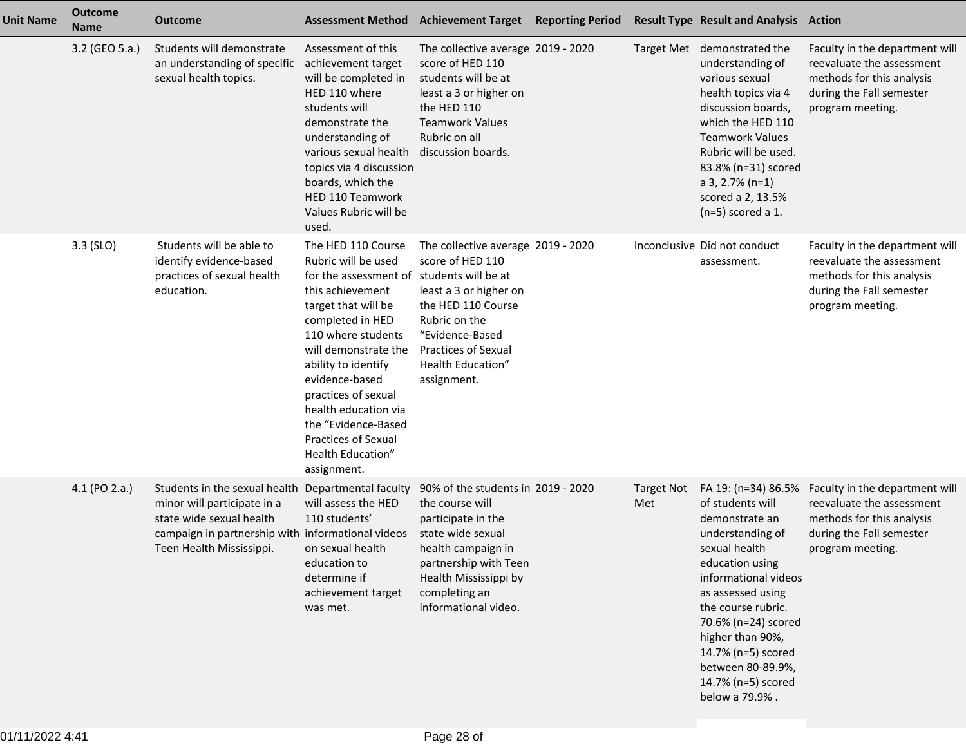| <b>Unit Name</b> | <b>Outcome</b><br><b>Name</b> | <b>Outcome</b>                                                                                                                                                                                 | <b>Assessment Method</b>                                                                                                                                                                                                                                                                                                                                         | <b>Achievement Target</b>                                                                                                                                                                                                    | <b>Reporting Period</b> |                          | <b>Result Type Result and Analysis Action</b>                                                                                                                                                                                                                                                                      |                                                                                                                                          |
|------------------|-------------------------------|------------------------------------------------------------------------------------------------------------------------------------------------------------------------------------------------|------------------------------------------------------------------------------------------------------------------------------------------------------------------------------------------------------------------------------------------------------------------------------------------------------------------------------------------------------------------|------------------------------------------------------------------------------------------------------------------------------------------------------------------------------------------------------------------------------|-------------------------|--------------------------|--------------------------------------------------------------------------------------------------------------------------------------------------------------------------------------------------------------------------------------------------------------------------------------------------------------------|------------------------------------------------------------------------------------------------------------------------------------------|
|                  | 3.2 (GEO 5.a.)                | Students will demonstrate<br>an understanding of specific<br>sexual health topics.                                                                                                             | Assessment of this<br>achievement target<br>will be completed in<br>HED 110 where<br>students will<br>demonstrate the<br>understanding of<br>various sexual health<br>topics via 4 discussion<br>boards, which the<br><b>HED 110 Teamwork</b><br>Values Rubric will be<br>used.                                                                                  | The collective average 2019 - 2020<br>score of HED 110<br>students will be at<br>least a 3 or higher on<br>the HED 110<br><b>Teamwork Values</b><br>Rubric on all<br>discussion boards.                                      |                         |                          | Target Met demonstrated the<br>understanding of<br>various sexual<br>health topics via 4<br>discussion boards,<br>which the HED 110<br><b>Teamwork Values</b><br>Rubric will be used.<br>83.8% (n=31) scored<br>$a$ 3, 2.7% (n=1)<br>scored a 2, 13.5%<br>$(n=5)$ scored a 1.                                      | Faculty in the department will<br>reevaluate the assessment<br>methods for this analysis<br>during the Fall semester<br>program meeting. |
|                  | 3.3 (SLO)                     | Students will be able to<br>identify evidence-based<br>practices of sexual health<br>education.                                                                                                | The HED 110 Course<br>Rubric will be used<br>for the assessment of<br>this achievement<br>target that will be<br>completed in HED<br>110 where students<br>will demonstrate the<br>ability to identify<br>evidence-based<br>practices of sexual<br>health education via<br>the "Evidence-Based<br><b>Practices of Sexual</b><br>Health Education"<br>assignment. | The collective average 2019 - 2020<br>score of HED 110<br>students will be at<br>least a 3 or higher on<br>the HED 110 Course<br>Rubric on the<br>"Evidence-Based<br>Practices of Sexual<br>Health Education"<br>assignment. |                         |                          | Inconclusive Did not conduct<br>assessment.                                                                                                                                                                                                                                                                        | Faculty in the department will<br>reevaluate the assessment<br>methods for this analysis<br>during the Fall semester<br>program meeting. |
|                  | 4.1 (PO 2.a.)                 | Students in the sexual health Departmental faculty<br>minor will participate in a<br>state wide sexual health<br>campaign in partnership with informational videos<br>Teen Health Mississippi. | will assess the HED<br>110 students'<br>on sexual health<br>education to<br>determine if<br>achievement target<br>was met.                                                                                                                                                                                                                                       | 90% of the students in 2019 - 2020<br>the course will<br>participate in the<br>state wide sexual<br>health campaign in<br>partnership with Teen<br>Health Mississippi by<br>completing an<br>informational video.            |                         | <b>Target Not</b><br>Met | FA 19: (n=34) 86.5%<br>of students will<br>demonstrate an<br>understanding of<br>sexual health<br>education using<br>informational videos<br>as assessed using<br>the course rubric.<br>70.6% (n=24) scored<br>higher than 90%,<br>14.7% (n=5) scored<br>between 80-89.9%,<br>14.7% (n=5) scored<br>below a 79.9%. | Faculty in the department will<br>reevaluate the assessment<br>methods for this analysis<br>during the Fall semester<br>program meeting. |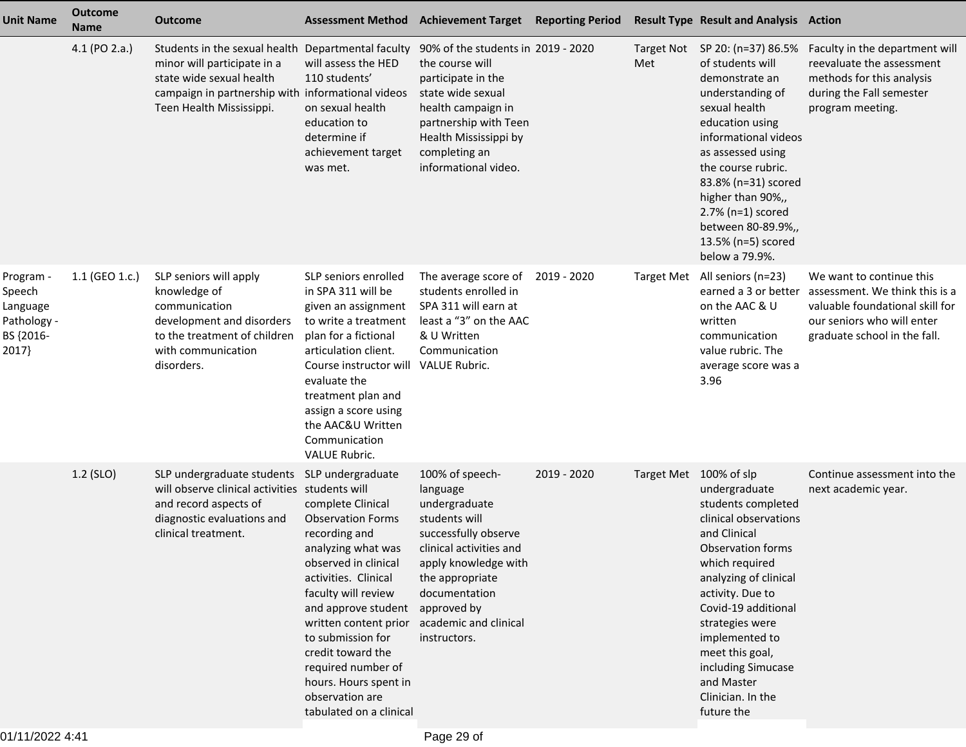| <b>Unit Name</b>                                                     | <b>Outcome</b><br><b>Name</b> | <b>Outcome</b>                                                                                                                                                                                 |                                                                                                                                                                                                                                                                                                                                                    | <b>Assessment Method Achievement Target</b>                                                                                                                                                                                          | <b>Reporting Period</b> |                          | <b>Result Type Result and Analysis Action</b>                                                                                                                                                                                                                                                                          |                                                                                                                                                             |
|----------------------------------------------------------------------|-------------------------------|------------------------------------------------------------------------------------------------------------------------------------------------------------------------------------------------|----------------------------------------------------------------------------------------------------------------------------------------------------------------------------------------------------------------------------------------------------------------------------------------------------------------------------------------------------|--------------------------------------------------------------------------------------------------------------------------------------------------------------------------------------------------------------------------------------|-------------------------|--------------------------|------------------------------------------------------------------------------------------------------------------------------------------------------------------------------------------------------------------------------------------------------------------------------------------------------------------------|-------------------------------------------------------------------------------------------------------------------------------------------------------------|
|                                                                      | 4.1 (PO 2.a.)                 | Students in the sexual health Departmental faculty<br>minor will participate in a<br>state wide sexual health<br>campaign in partnership with informational videos<br>Teen Health Mississippi. | will assess the HED<br>110 students'<br>on sexual health<br>education to<br>determine if<br>achievement target<br>was met.                                                                                                                                                                                                                         | 90% of the students in 2019 - 2020<br>the course will<br>participate in the<br>state wide sexual<br>health campaign in<br>partnership with Teen<br>Health Mississippi by<br>completing an<br>informational video.                    |                         | <b>Target Not</b><br>Met | SP 20: (n=37) 86.5%<br>of students will<br>demonstrate an<br>understanding of<br>sexual health<br>education using<br>informational videos<br>as assessed using<br>the course rubric.<br>83.8% (n=31) scored<br>higher than 90%,,<br>$2.7%$ (n=1) scored<br>between 80-89.9%,,<br>13.5% (n=5) scored<br>below a 79.9%.  | Faculty in the department will<br>reevaluate the assessment<br>methods for this analysis<br>during the Fall semester<br>program meeting.                    |
| Program -<br>Speech<br>Language<br>Pathology -<br>BS {2016-<br>2017} | 1.1 (GEO 1.c.)                | SLP seniors will apply<br>knowledge of<br>communication<br>development and disorders<br>to the treatment of children<br>with communication<br>disorders.                                       | SLP seniors enrolled<br>in SPA 311 will be<br>given an assignment<br>to write a treatment<br>plan for a fictional<br>articulation client.<br>Course instructor will<br>evaluate the<br>treatment plan and<br>assign a score using<br>the AAC&U Written<br>Communication<br><b>VALUE Rubric.</b>                                                    | The average score of<br>students enrolled in<br>SPA 311 will earn at<br>least a "3" on the AAC<br>& U Written<br>Communication<br><b>VALUE Rubric.</b>                                                                               | 2019 - 2020             | <b>Target Met</b>        | All seniors (n=23)<br>earned a 3 or better<br>on the AAC & U<br>written<br>communication<br>value rubric. The<br>average score was a<br>3.96                                                                                                                                                                           | We want to continue this<br>assessment. We think this is a<br>valuable foundational skill for<br>our seniors who will enter<br>graduate school in the fall. |
|                                                                      | 1.2 (SLO)                     | SLP undergraduate students SLP undergraduate<br>will observe clinical activities students will<br>and record aspects of<br>diagnostic evaluations and<br>clinical treatment.                   | complete Clinical<br><b>Observation Forms</b><br>recording and<br>analyzing what was<br>observed in clinical<br>activities. Clinical<br>faculty will review<br>and approve student<br>written content prior<br>to submission for<br>credit toward the<br>required number of<br>hours. Hours spent in<br>observation are<br>tabulated on a clinical | 100% of speech-<br>language<br>undergraduate<br>students will<br>successfully observe<br>clinical activities and<br>apply knowledge with<br>the appropriate<br>documentation<br>approved by<br>academic and clinical<br>instructors. | 2019 - 2020             | Target Met 100% of slp   | undergraduate<br>students completed<br>clinical observations<br>and Clinical<br>Observation forms<br>which required<br>analyzing of clinical<br>activity. Due to<br>Covid-19 additional<br>strategies were<br>implemented to<br>meet this goal,<br>including Simucase<br>and Master<br>Clinician. In the<br>future the | Continue assessment into the<br>next academic year.                                                                                                         |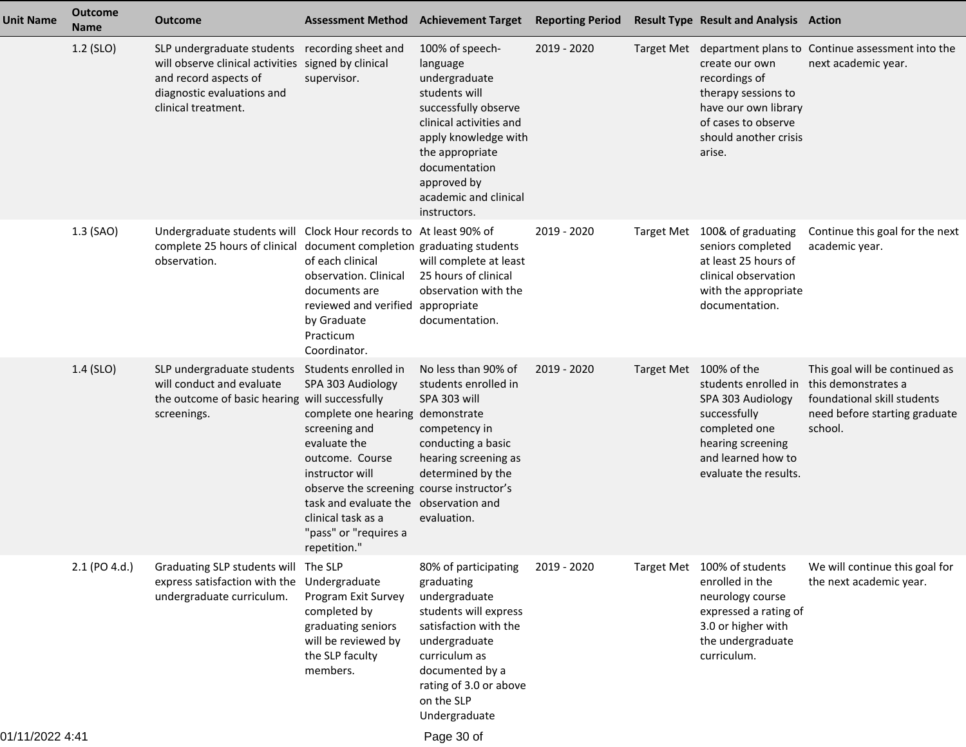| <b>Unit Name</b> | <b>Outcome</b><br><b>Name</b> | <b>Outcome</b>                                                                                                                                                                      |                                                                                                                                                                                                                                                                                               | <b>Assessment Method Achievement Target</b>                                                                                                                                                                                          | <b>Reporting Period</b> |                   | <b>Result Type Result and Analysis Action</b>                                                                                                                            |                                                                                                                                  |
|------------------|-------------------------------|-------------------------------------------------------------------------------------------------------------------------------------------------------------------------------------|-----------------------------------------------------------------------------------------------------------------------------------------------------------------------------------------------------------------------------------------------------------------------------------------------|--------------------------------------------------------------------------------------------------------------------------------------------------------------------------------------------------------------------------------------|-------------------------|-------------------|--------------------------------------------------------------------------------------------------------------------------------------------------------------------------|----------------------------------------------------------------------------------------------------------------------------------|
|                  | 1.2 (SLO)                     | SLP undergraduate students recording sheet and<br>will observe clinical activities signed by clinical<br>and record aspects of<br>diagnostic evaluations and<br>clinical treatment. | supervisor.                                                                                                                                                                                                                                                                                   | 100% of speech-<br>language<br>undergraduate<br>students will<br>successfully observe<br>clinical activities and<br>apply knowledge with<br>the appropriate<br>documentation<br>approved by<br>academic and clinical<br>instructors. | 2019 - 2020             | <b>Target Met</b> | create our own<br>recordings of<br>therapy sessions to<br>have our own library<br>of cases to observe<br>should another crisis<br>arise.                                 | department plans to Continue assessment into the<br>next academic year.                                                          |
|                  | 1.3 (SAO)                     | Undergraduate students will Clock Hour records to At least 90% of<br>complete 25 hours of clinical document completion graduating students<br>observation.                          | of each clinical<br>observation. Clinical<br>documents are<br>reviewed and verified<br>by Graduate<br>Practicum<br>Coordinator.                                                                                                                                                               | will complete at least<br>25 hours of clinical<br>observation with the<br>appropriate<br>documentation.                                                                                                                              | 2019 - 2020             | <b>Target Met</b> | 100& of graduating<br>seniors completed<br>at least 25 hours of<br>clinical observation<br>with the appropriate<br>documentation.                                        | Continue this goal for the next<br>academic year.                                                                                |
|                  | $1.4$ (SLO)                   | SLP undergraduate students<br>will conduct and evaluate<br>the outcome of basic hearing will successfully<br>screenings.                                                            | Students enrolled in<br>SPA 303 Audiology<br>complete one hearing<br>screening and<br>evaluate the<br>outcome. Course<br>instructor will<br>observe the screening course instructor's<br>task and evaluate the observation and<br>clinical task as a<br>"pass" or "requires a<br>repetition." | No less than 90% of<br>students enrolled in<br>SPA 303 will<br>demonstrate<br>competency in<br>conducting a basic<br>hearing screening as<br>determined by the<br>evaluation.                                                        | 2019 - 2020             |                   | Target Met 100% of the<br>students enrolled in<br>SPA 303 Audiology<br>successfully<br>completed one<br>hearing screening<br>and learned how to<br>evaluate the results. | This goal will be continued as<br>this demonstrates a<br>foundational skill students<br>need before starting graduate<br>school. |
| 01/11/2022 4:41  | $2.1$ (PO 4.d.)               | Graduating SLP students will The SLP<br>express satisfaction with the<br>undergraduate curriculum.                                                                                  | Undergraduate<br>Program Exit Survey<br>completed by<br>graduating seniors<br>will be reviewed by<br>the SLP faculty<br>members.                                                                                                                                                              | 80% of participating<br>graduating<br>undergraduate<br>students will express<br>satisfaction with the<br>undergraduate<br>curriculum as<br>documented by a<br>rating of 3.0 or above<br>on the SLP<br>Undergraduate<br>Page 30 of    | 2019 - 2020             |                   | Target Met 100% of students<br>enrolled in the<br>neurology course<br>expressed a rating of<br>3.0 or higher with<br>the undergraduate<br>curriculum.                    | We will continue this goal for<br>the next academic year.                                                                        |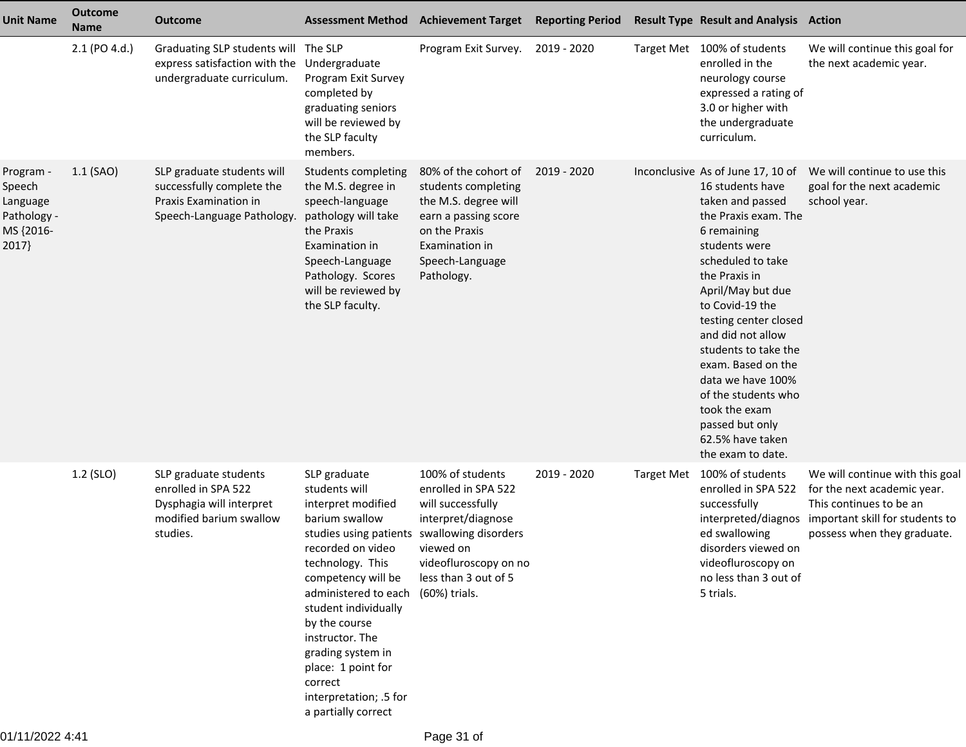| <b>Unit Name</b>                                                     | <b>Outcome</b><br><b>Name</b> | <b>Outcome</b>                                                                                                   | <b>Assessment Method</b>                                                                                                                                                                                                                                                                                                                                                | <b>Achievement Target Reporting Period</b>                                                                                                                               |             | <b>Result Type Result and Analysis Action</b>                                                                                                                                                                                                                                                                                                                                                                                        |                                                                                                                                                                                 |
|----------------------------------------------------------------------|-------------------------------|------------------------------------------------------------------------------------------------------------------|-------------------------------------------------------------------------------------------------------------------------------------------------------------------------------------------------------------------------------------------------------------------------------------------------------------------------------------------------------------------------|--------------------------------------------------------------------------------------------------------------------------------------------------------------------------|-------------|--------------------------------------------------------------------------------------------------------------------------------------------------------------------------------------------------------------------------------------------------------------------------------------------------------------------------------------------------------------------------------------------------------------------------------------|---------------------------------------------------------------------------------------------------------------------------------------------------------------------------------|
|                                                                      | 2.1 (PO 4.d.)                 | Graduating SLP students will The SLP<br>express satisfaction with the Undergraduate<br>undergraduate curriculum. | Program Exit Survey<br>completed by<br>graduating seniors<br>will be reviewed by<br>the SLP faculty<br>members.                                                                                                                                                                                                                                                         | Program Exit Survey.                                                                                                                                                     | 2019 - 2020 | Target Met 100% of students<br>enrolled in the<br>neurology course<br>expressed a rating of<br>3.0 or higher with<br>the undergraduate<br>curriculum.                                                                                                                                                                                                                                                                                | We will continue this goal for<br>the next academic year.                                                                                                                       |
| Program -<br>Speech<br>Language<br>Pathology -<br>MS {2016-<br>2017} | $1.1$ (SAO)                   | SLP graduate students will<br>successfully complete the<br>Praxis Examination in<br>Speech-Language Pathology.   | Students completing<br>the M.S. degree in<br>speech-language<br>pathology will take<br>the Praxis<br>Examination in<br>Speech-Language<br>Pathology. Scores<br>will be reviewed by<br>the SLP faculty.                                                                                                                                                                  | 80% of the cohort of<br>students completing<br>the M.S. degree will<br>earn a passing score<br>on the Praxis<br>Examination in<br>Speech-Language<br>Pathology.          | 2019 - 2020 | Inconclusive As of June 17, 10 of<br>16 students have<br>taken and passed<br>the Praxis exam. The<br>6 remaining<br>students were<br>scheduled to take<br>the Praxis in<br>April/May but due<br>to Covid-19 the<br>testing center closed<br>and did not allow<br>students to take the<br>exam. Based on the<br>data we have 100%<br>of the students who<br>took the exam<br>passed but only<br>62.5% have taken<br>the exam to date. | We will continue to use this<br>goal for the next academic<br>school year.                                                                                                      |
|                                                                      | 1.2 (SLO)                     | SLP graduate students<br>enrolled in SPA 522<br>Dysphagia will interpret<br>modified barium swallow<br>studies.  | SLP graduate<br>students will<br>interpret modified<br>barium swallow<br>studies using patients<br>recorded on video<br>technology. This<br>competency will be<br>administered to each (60%) trials.<br>student individually<br>by the course<br>instructor. The<br>grading system in<br>place: 1 point for<br>correct<br>interpretation; .5 for<br>a partially correct | 100% of students<br>enrolled in SPA 522<br>will successfully<br>interpret/diagnose<br>swallowing disorders<br>viewed on<br>videofluroscopy on no<br>less than 3 out of 5 | 2019 - 2020 | Target Met 100% of students<br>enrolled in SPA 522<br>successfully<br>ed swallowing<br>disorders viewed on<br>videofluroscopy on<br>no less than 3 out of<br>5 trials.                                                                                                                                                                                                                                                               | We will continue with this goal<br>for the next academic year.<br>This continues to be an<br>interpreted/diagnos important skill for students to<br>possess when they graduate. |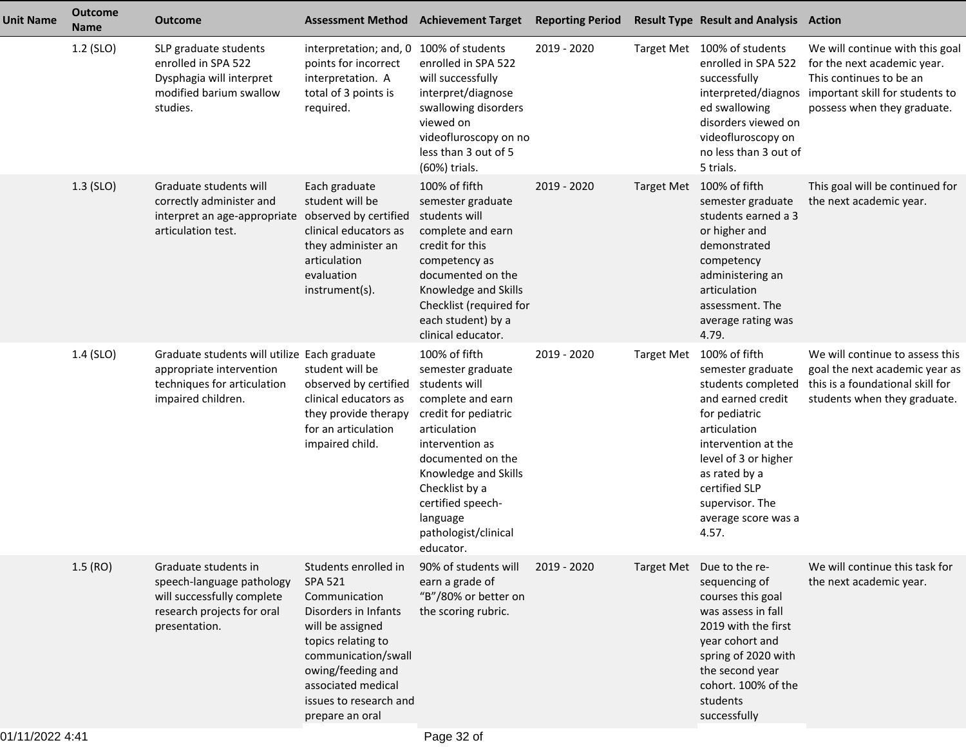| <b>Unit Name</b> | <b>Outcome</b><br><b>Name</b> | <b>Outcome</b>                                                                                                                 | <b>Assessment Method</b>                                                                                                                                                                                                                 | <b>Achievement Target</b>                                                                                                                                                                                                                                                | <b>Reporting Period</b> |                   | <b>Result Type Result and Analysis Action</b>                                                                                                                                                                                                      |                                                                                                                                                             |
|------------------|-------------------------------|--------------------------------------------------------------------------------------------------------------------------------|------------------------------------------------------------------------------------------------------------------------------------------------------------------------------------------------------------------------------------------|--------------------------------------------------------------------------------------------------------------------------------------------------------------------------------------------------------------------------------------------------------------------------|-------------------------|-------------------|----------------------------------------------------------------------------------------------------------------------------------------------------------------------------------------------------------------------------------------------------|-------------------------------------------------------------------------------------------------------------------------------------------------------------|
|                  | 1.2 (SLO)                     | SLP graduate students<br>enrolled in SPA 522<br>Dysphagia will interpret<br>modified barium swallow<br>studies.                | interpretation; and, 0 100% of students<br>points for incorrect<br>interpretation. A<br>total of 3 points is<br>required.                                                                                                                | enrolled in SPA 522<br>will successfully<br>interpret/diagnose<br>swallowing disorders<br>viewed on<br>videofluroscopy on no<br>less than 3 out of 5<br>(60%) trials.                                                                                                    | 2019 - 2020             |                   | Target Met 100% of students<br>enrolled in SPA 522<br>successfully<br>interpreted/diagnos<br>ed swallowing<br>disorders viewed on<br>videofluroscopy on<br>no less than 3 out of<br>5 trials.                                                      | We will continue with this goal<br>for the next academic year.<br>This continues to be an<br>important skill for students to<br>possess when they graduate. |
|                  | $1.3$ (SLO)                   | Graduate students will<br>correctly administer and<br>interpret an age-appropriate observed by certified<br>articulation test. | Each graduate<br>student will be<br>clinical educators as<br>they administer an<br>articulation<br>evaluation<br>instrument(s).                                                                                                          | 100% of fifth<br>semester graduate<br>students will<br>complete and earn<br>credit for this<br>competency as<br>documented on the<br>Knowledge and Skills<br>Checklist (required for<br>each student) by a<br>clinical educator.                                         | 2019 - 2020             |                   | Target Met 100% of fifth<br>semester graduate<br>students earned a 3<br>or higher and<br>demonstrated<br>competency<br>administering an<br>articulation<br>assessment. The<br>average rating was<br>4.79.                                          | This goal will be continued for<br>the next academic year.                                                                                                  |
|                  | 1.4 (SLO)                     | Graduate students will utilize Each graduate<br>appropriate intervention<br>techniques for articulation<br>impaired children.  | student will be<br>observed by certified<br>clinical educators as<br>they provide therapy<br>for an articulation<br>impaired child.                                                                                                      | 100% of fifth<br>semester graduate<br>students will<br>complete and earn<br>credit for pediatric<br>articulation<br>intervention as<br>documented on the<br>Knowledge and Skills<br>Checklist by a<br>certified speech-<br>language<br>pathologist/clinical<br>educator. | 2019 - 2020             | <b>Target Met</b> | 100% of fifth<br>semester graduate<br>students completed<br>and earned credit<br>for pediatric<br>articulation<br>intervention at the<br>level of 3 or higher<br>as rated by a<br>certified SLP<br>supervisor. The<br>average score was a<br>4.57. | We will continue to assess this<br>goal the next academic year as<br>this is a foundational skill for<br>students when they graduate.                       |
|                  | 1.5(RO)                       | Graduate students in<br>speech-language pathology<br>will successfully complete<br>research projects for oral<br>presentation. | Students enrolled in<br><b>SPA 521</b><br>Communication<br>Disorders in Infants<br>will be assigned<br>topics relating to<br>communication/swall<br>owing/feeding and<br>associated medical<br>issues to research and<br>prepare an oral | 90% of students will<br>earn a grade of<br>"B"/80% or better on<br>the scoring rubric.                                                                                                                                                                                   | 2019 - 2020             |                   | Target Met Due to the re-<br>sequencing of<br>courses this goal<br>was assess in fall<br>2019 with the first<br>year cohort and<br>spring of 2020 with<br>the second year<br>cohort. 100% of the<br>students<br>successfully                       | We will continue this task for<br>the next academic year.                                                                                                   |